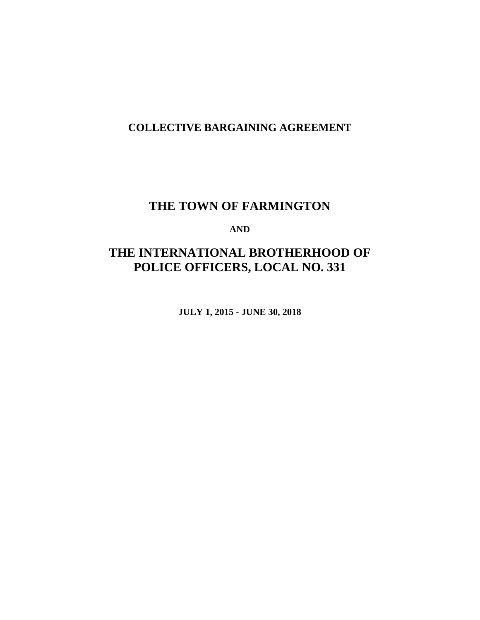# **COLLECTIVE BARGAINING AGREEMENT**

# **THE TOWN OF FARMINGTON**

## **AND**

# **THE INTERNATIONAL BROTHERHOOD OF POLICE OFFICERS, LOCAL NO. 331**

**JULY 1, 2015 - JUNE 30, 2018**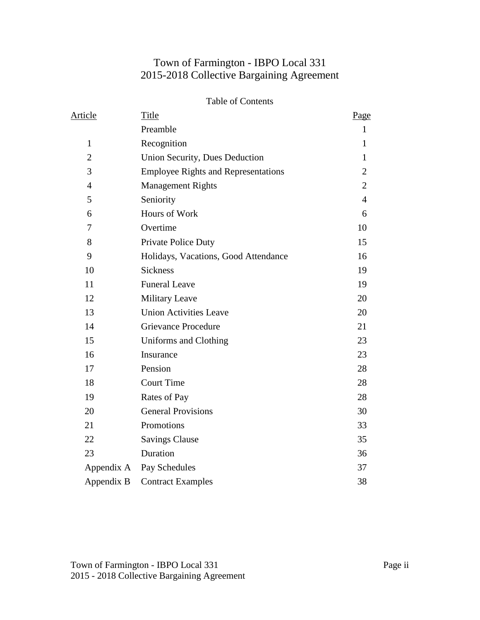# Town of Farmington - IBPO Local 331 2015-2018 Collective Bargaining Agreement

#### Table of Contents

| Article        | Title                                      | Page           |
|----------------|--------------------------------------------|----------------|
|                | Preamble                                   | $\mathbf{1}$   |
| $\mathbf{1}$   | Recognition                                | 1              |
| $\overline{2}$ | Union Security, Dues Deduction             | 1              |
| 3              | <b>Employee Rights and Representations</b> | $\overline{2}$ |
| $\overline{4}$ | <b>Management Rights</b>                   | $\overline{2}$ |
| 5              | Seniority                                  | $\overline{4}$ |
| 6              | Hours of Work                              | 6              |
| 7              | Overtime                                   | 10             |
| 8              | Private Police Duty                        | 15             |
| 9              | Holidays, Vacations, Good Attendance       | 16             |
| 10             | <b>Sickness</b>                            | 19             |
| 11             | <b>Funeral Leave</b>                       | 19             |
| 12             | <b>Military Leave</b>                      | 20             |
| 13             | <b>Union Activities Leave</b>              | 20             |
| 14             | <b>Grievance Procedure</b>                 | 21             |
| 15             | Uniforms and Clothing                      | 23             |
| 16             | Insurance                                  | 23             |
| 17             | Pension                                    | 28             |
| 18             | <b>Court Time</b>                          | 28             |
| 19             | Rates of Pay                               | 28             |
| 20             | <b>General Provisions</b>                  | 30             |
| 21             | Promotions                                 | 33             |
| 22             | <b>Savings Clause</b>                      | 35             |
| 23             | Duration                                   | 36             |
| Appendix A     | Pay Schedules                              | 37             |
| Appendix B     | <b>Contract Examples</b>                   | 38             |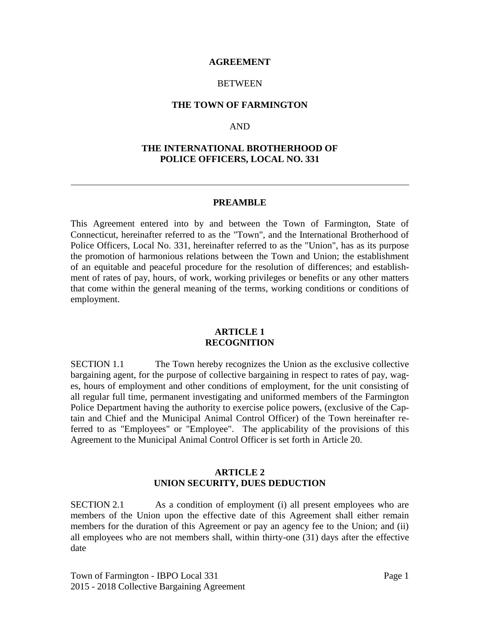#### **AGREEMENT**

#### **BETWEEN**

#### **THE TOWN OF FARMINGTON**

#### AND

#### **THE INTERNATIONAL BROTHERHOOD OF POLICE OFFICERS, LOCAL NO. 331**

#### **PREAMBLE**

This Agreement entered into by and between the Town of Farmington, State of Connecticut, hereinafter referred to as the "Town", and the International Brotherhood of Police Officers, Local No. 331, hereinafter referred to as the "Union", has as its purpose the promotion of harmonious relations between the Town and Union; the establishment of an equitable and peaceful procedure for the resolution of differences; and establishment of rates of pay, hours, of work, working privileges or benefits or any other matters that come within the general meaning of the terms, working conditions or conditions of employment.

#### **ARTICLE 1 RECOGNITION**

SECTION 1.1 The Town hereby recognizes the Union as the exclusive collective bargaining agent, for the purpose of collective bargaining in respect to rates of pay, wages, hours of employment and other conditions of employment, for the unit consisting of all regular full time, permanent investigating and uniformed members of the Farmington Police Department having the authority to exercise police powers, (exclusive of the Captain and Chief and the Municipal Animal Control Officer) of the Town hereinafter referred to as "Employees" or "Employee". The applicability of the provisions of this Agreement to the Municipal Animal Control Officer is set forth in Article 20.

#### **ARTICLE 2 UNION SECURITY, DUES DEDUCTION**

SECTION 2.1 As a condition of employment (i) all present employees who are members of the Union upon the effective date of this Agreement shall either remain members for the duration of this Agreement or pay an agency fee to the Union; and (ii) all employees who are not members shall, within thirty-one (31) days after the effective date

Town of Farmington - IBPO Local 331 Page 1 2015 - 2018 Collective Bargaining Agreement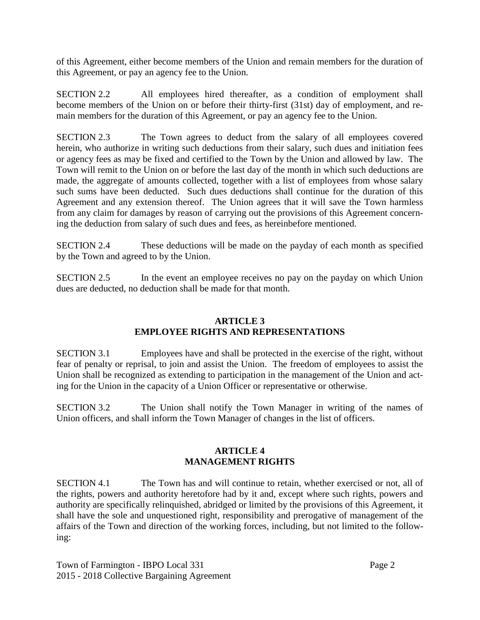of this Agreement, either become members of the Union and remain members for the duration of this Agreement, or pay an agency fee to the Union.

SECTION 2.2 All employees hired thereafter, as a condition of employment shall become members of the Union on or before their thirty-first (31st) day of employment, and remain members for the duration of this Agreement, or pay an agency fee to the Union.

SECTION 2.3 The Town agrees to deduct from the salary of all employees covered herein, who authorize in writing such deductions from their salary, such dues and initiation fees or agency fees as may be fixed and certified to the Town by the Union and allowed by law. The Town will remit to the Union on or before the last day of the month in which such deductions are made, the aggregate of amounts collected, together with a list of employees from whose salary such sums have been deducted. Such dues deductions shall continue for the duration of this Agreement and any extension thereof. The Union agrees that it will save the Town harmless from any claim for damages by reason of carrying out the provisions of this Agreement concerning the deduction from salary of such dues and fees, as hereinbefore mentioned.

SECTION 2.4 These deductions will be made on the payday of each month as specified by the Town and agreed to by the Union.

SECTION 2.5 In the event an employee receives no pay on the payday on which Union dues are deducted, no deduction shall be made for that month.

## **ARTICLE 3 EMPLOYEE RIGHTS AND REPRESENTATIONS**

SECTION 3.1 Employees have and shall be protected in the exercise of the right, without fear of penalty or reprisal, to join and assist the Union. The freedom of employees to assist the Union shall be recognized as extending to participation in the management of the Union and acting for the Union in the capacity of a Union Officer or representative or otherwise.

SECTION 3.2 The Union shall notify the Town Manager in writing of the names of Union officers, and shall inform the Town Manager of changes in the list of officers.

## **ARTICLE 4 MANAGEMENT RIGHTS**

SECTION 4.1 The Town has and will continue to retain, whether exercised or not, all of the rights, powers and authority heretofore had by it and, except where such rights, powers and authority are specifically relinquished, abridged or limited by the provisions of this Agreement, it shall have the sole and unquestioned right, responsibility and prerogative of management of the affairs of the Town and direction of the working forces, including, but not limited to the following:

Town of Farmington - IBPO Local 331 Page 2 2015 - 2018 Collective Bargaining Agreement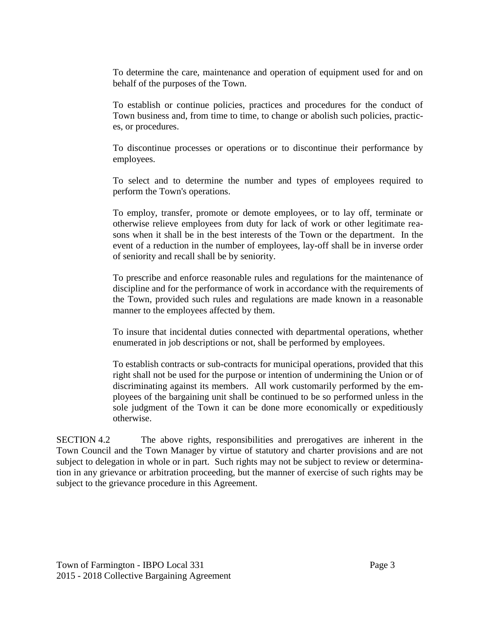To determine the care, maintenance and operation of equipment used for and on behalf of the purposes of the Town.

To establish or continue policies, practices and procedures for the conduct of Town business and, from time to time, to change or abolish such policies, practices, or procedures.

To discontinue processes or operations or to discontinue their performance by employees.

To select and to determine the number and types of employees required to perform the Town's operations.

To employ, transfer, promote or demote employees, or to lay off, terminate or otherwise relieve employees from duty for lack of work or other legitimate reasons when it shall be in the best interests of the Town or the department. In the event of a reduction in the number of employees, lay-off shall be in inverse order of seniority and recall shall be by seniority.

To prescribe and enforce reasonable rules and regulations for the maintenance of discipline and for the performance of work in accordance with the requirements of the Town, provided such rules and regulations are made known in a reasonable manner to the employees affected by them.

To insure that incidental duties connected with departmental operations, whether enumerated in job descriptions or not, shall be performed by employees.

To establish contracts or sub-contracts for municipal operations, provided that this right shall not be used for the purpose or intention of undermining the Union or of discriminating against its members. All work customarily performed by the employees of the bargaining unit shall be continued to be so performed unless in the sole judgment of the Town it can be done more economically or expeditiously otherwise.

SECTION 4.2 The above rights, responsibilities and prerogatives are inherent in the Town Council and the Town Manager by virtue of statutory and charter provisions and are not subject to delegation in whole or in part. Such rights may not be subject to review or determination in any grievance or arbitration proceeding, but the manner of exercise of such rights may be subject to the grievance procedure in this Agreement.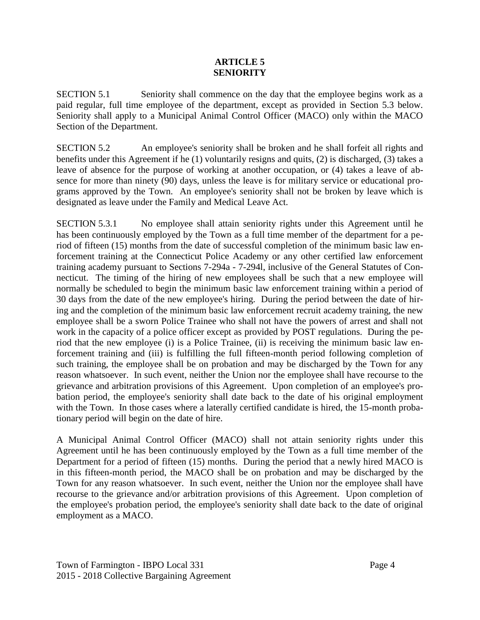#### **ARTICLE 5 SENIORITY**

SECTION 5.1 Seniority shall commence on the day that the employee begins work as a paid regular, full time employee of the department, except as provided in Section 5.3 below. Seniority shall apply to a Municipal Animal Control Officer (MACO) only within the MACO Section of the Department.

SECTION 5.2 An employee's seniority shall be broken and he shall forfeit all rights and benefits under this Agreement if he (1) voluntarily resigns and quits, (2) is discharged, (3) takes a leave of absence for the purpose of working at another occupation, or (4) takes a leave of absence for more than ninety (90) days, unless the leave is for military service or educational programs approved by the Town. An employee's seniority shall not be broken by leave which is designated as leave under the Family and Medical Leave Act.

SECTION 5.3.1 No employee shall attain seniority rights under this Agreement until he has been continuously employed by the Town as a full time member of the department for a period of fifteen (15) months from the date of successful completion of the minimum basic law enforcement training at the Connecticut Police Academy or any other certified law enforcement training academy pursuant to Sections 7-294a - 7-294l, inclusive of the General Statutes of Connecticut. The timing of the hiring of new employees shall be such that a new employee will normally be scheduled to begin the minimum basic law enforcement training within a period of 30 days from the date of the new employee's hiring. During the period between the date of hiring and the completion of the minimum basic law enforcement recruit academy training, the new employee shall be a sworn Police Trainee who shall not have the powers of arrest and shall not work in the capacity of a police officer except as provided by POST regulations. During the period that the new employee (i) is a Police Trainee, (ii) is receiving the minimum basic law enforcement training and (iii) is fulfilling the full fifteen-month period following completion of such training, the employee shall be on probation and may be discharged by the Town for any reason whatsoever. In such event, neither the Union nor the employee shall have recourse to the grievance and arbitration provisions of this Agreement. Upon completion of an employee's probation period, the employee's seniority shall date back to the date of his original employment with the Town. In those cases where a laterally certified candidate is hired, the 15-month probationary period will begin on the date of hire.

A Municipal Animal Control Officer (MACO) shall not attain seniority rights under this Agreement until he has been continuously employed by the Town as a full time member of the Department for a period of fifteen (15) months. During the period that a newly hired MACO is in this fifteen-month period, the MACO shall be on probation and may be discharged by the Town for any reason whatsoever. In such event, neither the Union nor the employee shall have recourse to the grievance and/or arbitration provisions of this Agreement. Upon completion of the employee's probation period, the employee's seniority shall date back to the date of original employment as a MACO.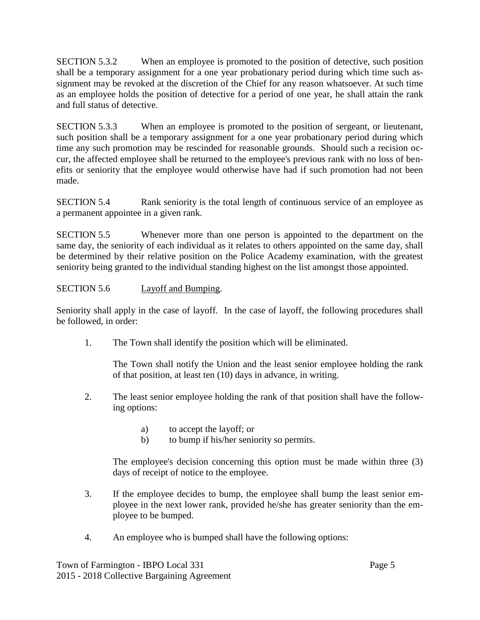SECTION 5.3.2 When an employee is promoted to the position of detective, such position shall be a temporary assignment for a one year probationary period during which time such assignment may be revoked at the discretion of the Chief for any reason whatsoever. At such time as an employee holds the position of detective for a period of one year, he shall attain the rank and full status of detective.

SECTION 5.3.3 When an employee is promoted to the position of sergeant, or lieutenant, such position shall be a temporary assignment for a one year probationary period during which time any such promotion may be rescinded for reasonable grounds. Should such a recision occur, the affected employee shall be returned to the employee's previous rank with no loss of benefits or seniority that the employee would otherwise have had if such promotion had not been made.

SECTION 5.4 Rank seniority is the total length of continuous service of an employee as a permanent appointee in a given rank.

SECTION 5.5 Whenever more than one person is appointed to the department on the same day, the seniority of each individual as it relates to others appointed on the same day, shall be determined by their relative position on the Police Academy examination, with the greatest seniority being granted to the individual standing highest on the list amongst those appointed.

## SECTION 5.6 Layoff and Bumping.

Seniority shall apply in the case of layoff. In the case of layoff, the following procedures shall be followed, in order:

1. The Town shall identify the position which will be eliminated.

The Town shall notify the Union and the least senior employee holding the rank of that position, at least ten (10) days in advance, in writing.

- 2. The least senior employee holding the rank of that position shall have the following options:
	- a) to accept the layoff; or
	- b) to bump if his/her seniority so permits.

The employee's decision concerning this option must be made within three (3) days of receipt of notice to the employee.

- 3. If the employee decides to bump, the employee shall bump the least senior employee in the next lower rank, provided he/she has greater seniority than the employee to be bumped.
- 4. An employee who is bumped shall have the following options:

Town of Farmington - IBPO Local 331 Page 5 2015 - 2018 Collective Bargaining Agreement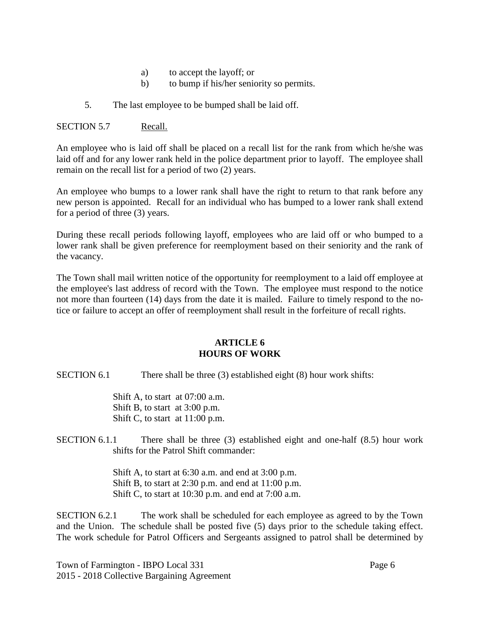- a) to accept the layoff; or
- b) to bump if his/her seniority so permits.
- 5. The last employee to be bumped shall be laid off.

#### SECTION 5.7 Recall.

An employee who is laid off shall be placed on a recall list for the rank from which he/she was laid off and for any lower rank held in the police department prior to layoff. The employee shall remain on the recall list for a period of two (2) years.

An employee who bumps to a lower rank shall have the right to return to that rank before any new person is appointed. Recall for an individual who has bumped to a lower rank shall extend for a period of three (3) years.

During these recall periods following layoff, employees who are laid off or who bumped to a lower rank shall be given preference for reemployment based on their seniority and the rank of the vacancy.

The Town shall mail written notice of the opportunity for reemployment to a laid off employee at the employee's last address of record with the Town. The employee must respond to the notice not more than fourteen (14) days from the date it is mailed. Failure to timely respond to the notice or failure to accept an offer of reemployment shall result in the forfeiture of recall rights.

#### **ARTICLE 6 HOURS OF WORK**

SECTION 6.1 There shall be three (3) established eight (8) hour work shifts:

Shift A, to start at 07:00 a.m. Shift B, to start at 3:00 p.m. Shift C, to start at 11:00 p.m.

SECTION 6.1.1 There shall be three (3) established eight and one-half (8.5) hour work shifts for the Patrol Shift commander:

> Shift A, to start at 6:30 a.m. and end at 3:00 p.m. Shift B, to start at 2:30 p.m. and end at 11:00 p.m. Shift C, to start at 10:30 p.m. and end at 7:00 a.m.

SECTION 6.2.1 The work shall be scheduled for each employee as agreed to by the Town and the Union. The schedule shall be posted five (5) days prior to the schedule taking effect. The work schedule for Patrol Officers and Sergeants assigned to patrol shall be determined by

Town of Farmington - IBPO Local 331 Page 6 2015 - 2018 Collective Bargaining Agreement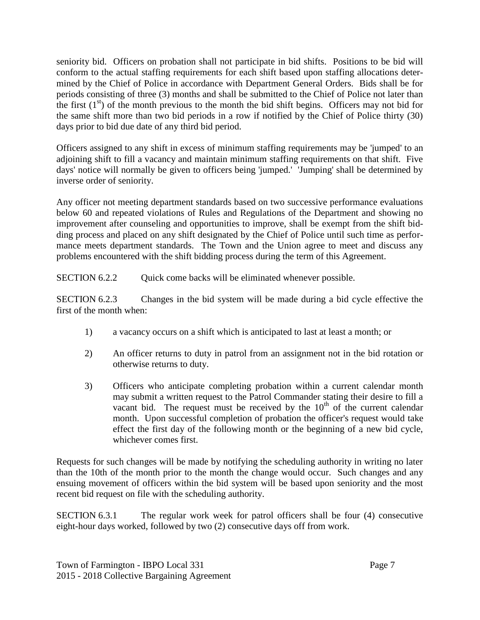seniority bid. Officers on probation shall not participate in bid shifts. Positions to be bid will conform to the actual staffing requirements for each shift based upon staffing allocations determined by the Chief of Police in accordance with Department General Orders. Bids shall be for periods consisting of three (3) months and shall be submitted to the Chief of Police not later than the first  $(1<sup>st</sup>)$  of the month previous to the month the bid shift begins. Officers may not bid for the same shift more than two bid periods in a row if notified by the Chief of Police thirty (30) days prior to bid due date of any third bid period.

Officers assigned to any shift in excess of minimum staffing requirements may be 'jumped' to an adjoining shift to fill a vacancy and maintain minimum staffing requirements on that shift. Five days' notice will normally be given to officers being 'jumped.' 'Jumping' shall be determined by inverse order of seniority.

Any officer not meeting department standards based on two successive performance evaluations below 60 and repeated violations of Rules and Regulations of the Department and showing no improvement after counseling and opportunities to improve, shall be exempt from the shift bidding process and placed on any shift designated by the Chief of Police until such time as performance meets department standards. The Town and the Union agree to meet and discuss any problems encountered with the shift bidding process during the term of this Agreement.

SECTION 6.2.2 Quick come backs will be eliminated whenever possible.

SECTION 6.2.3 Changes in the bid system will be made during a bid cycle effective the first of the month when:

- 1) a vacancy occurs on a shift which is anticipated to last at least a month; or
- 2) An officer returns to duty in patrol from an assignment not in the bid rotation or otherwise returns to duty.
- 3) Officers who anticipate completing probation within a current calendar month may submit a written request to the Patrol Commander stating their desire to fill a vacant bid. The request must be received by the  $10<sup>th</sup>$  of the current calendar month. Upon successful completion of probation the officer's request would take effect the first day of the following month or the beginning of a new bid cycle, whichever comes first.

Requests for such changes will be made by notifying the scheduling authority in writing no later than the 10th of the month prior to the month the change would occur. Such changes and any ensuing movement of officers within the bid system will be based upon seniority and the most recent bid request on file with the scheduling authority.

SECTION 6.3.1 The regular work week for patrol officers shall be four (4) consecutive eight-hour days worked, followed by two (2) consecutive days off from work.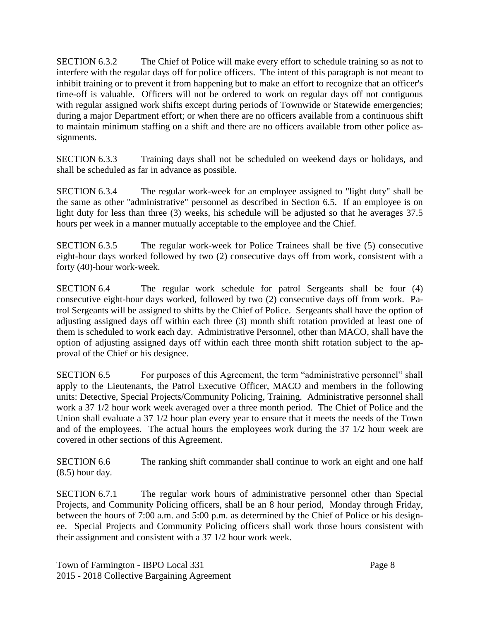SECTION 6.3.2 The Chief of Police will make every effort to schedule training so as not to interfere with the regular days off for police officers. The intent of this paragraph is not meant to inhibit training or to prevent it from happening but to make an effort to recognize that an officer's time-off is valuable. Officers will not be ordered to work on regular days off not contiguous with regular assigned work shifts except during periods of Townwide or Statewide emergencies; during a major Department effort; or when there are no officers available from a continuous shift to maintain minimum staffing on a shift and there are no officers available from other police assignments.

SECTION 6.3.3 Training days shall not be scheduled on weekend days or holidays, and shall be scheduled as far in advance as possible.

SECTION 6.3.4 The regular work-week for an employee assigned to "light duty" shall be the same as other "administrative" personnel as described in Section 6.5. If an employee is on light duty for less than three (3) weeks, his schedule will be adjusted so that he averages 37.5 hours per week in a manner mutually acceptable to the employee and the Chief.

SECTION 6.3.5 The regular work-week for Police Trainees shall be five (5) consecutive eight-hour days worked followed by two (2) consecutive days off from work, consistent with a forty (40)-hour work-week.

SECTION 6.4 The regular work schedule for patrol Sergeants shall be four (4) consecutive eight-hour days worked, followed by two (2) consecutive days off from work. Patrol Sergeants will be assigned to shifts by the Chief of Police. Sergeants shall have the option of adjusting assigned days off within each three (3) month shift rotation provided at least one of them is scheduled to work each day. Administrative Personnel, other than MACO, shall have the option of adjusting assigned days off within each three month shift rotation subject to the approval of the Chief or his designee.

SECTION 6.5 For purposes of this Agreement, the term "administrative personnel" shall apply to the Lieutenants, the Patrol Executive Officer, MACO and members in the following units: Detective, Special Projects/Community Policing, Training. Administrative personnel shall work a 37 1/2 hour work week averaged over a three month period. The Chief of Police and the Union shall evaluate a 37 1/2 hour plan every year to ensure that it meets the needs of the Town and of the employees. The actual hours the employees work during the 37 1/2 hour week are covered in other sections of this Agreement.

SECTION 6.6 The ranking shift commander shall continue to work an eight and one half (8.5) hour day.

SECTION 6.7.1 The regular work hours of administrative personnel other than Special Projects, and Community Policing officers, shall be an 8 hour period, Monday through Friday, between the hours of 7:00 a.m. and 5:00 p.m. as determined by the Chief of Police or his designee. Special Projects and Community Policing officers shall work those hours consistent with their assignment and consistent with a 37 1/2 hour work week.

Town of Farmington - IBPO Local 331 Page 8 2015 - 2018 Collective Bargaining Agreement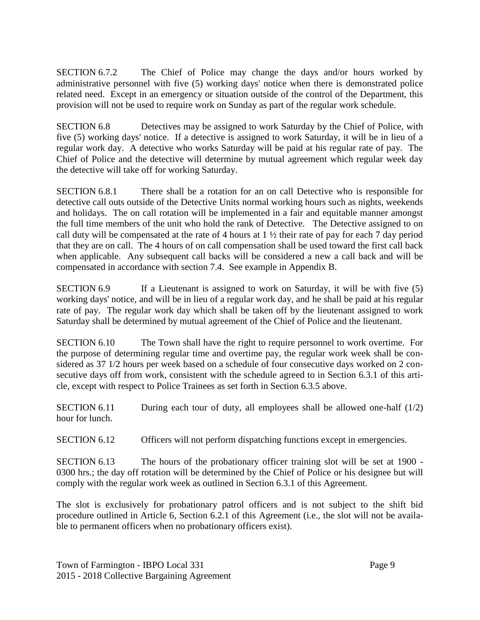SECTION 6.7.2 The Chief of Police may change the days and/or hours worked by administrative personnel with five (5) working days' notice when there is demonstrated police related need. Except in an emergency or situation outside of the control of the Department, this provision will not be used to require work on Sunday as part of the regular work schedule.

SECTION 6.8 Detectives may be assigned to work Saturday by the Chief of Police, with five (5) working days' notice. If a detective is assigned to work Saturday, it will be in lieu of a regular work day. A detective who works Saturday will be paid at his regular rate of pay. The Chief of Police and the detective will determine by mutual agreement which regular week day the detective will take off for working Saturday.

SECTION 6.8.1 There shall be a rotation for an on call Detective who is responsible for detective call outs outside of the Detective Units normal working hours such as nights, weekends and holidays. The on call rotation will be implemented in a fair and equitable manner amongst the full time members of the unit who hold the rank of Detective. The Detective assigned to on call duty will be compensated at the rate of 4 hours at 1 ½ their rate of pay for each 7 day period that they are on call. The 4 hours of on call compensation shall be used toward the first call back when applicable. Any subsequent call backs will be considered a new a call back and will be compensated in accordance with section 7.4. See example in Appendix B.

SECTION 6.9 If a Lieutenant is assigned to work on Saturday, it will be with five (5) working days' notice, and will be in lieu of a regular work day, and he shall be paid at his regular rate of pay. The regular work day which shall be taken off by the lieutenant assigned to work Saturday shall be determined by mutual agreement of the Chief of Police and the lieutenant.

SECTION 6.10 The Town shall have the right to require personnel to work overtime. For the purpose of determining regular time and overtime pay, the regular work week shall be considered as 37 1/2 hours per week based on a schedule of four consecutive days worked on 2 consecutive days off from work, consistent with the schedule agreed to in Section 6.3.1 of this article, except with respect to Police Trainees as set forth in Section 6.3.5 above.

SECTION 6.11 During each tour of duty, all employees shall be allowed one-half  $(1/2)$ hour for lunch.

SECTION 6.12 Officers will not perform dispatching functions except in emergencies.

SECTION 6.13 The hours of the probationary officer training slot will be set at 1900 - 0300 hrs.; the day off rotation will be determined by the Chief of Police or his designee but will comply with the regular work week as outlined in Section 6.3.1 of this Agreement.

The slot is exclusively for probationary patrol officers and is not subject to the shift bid procedure outlined in Article 6, Section 6.2.1 of this Agreement (i.e., the slot will not be available to permanent officers when no probationary officers exist).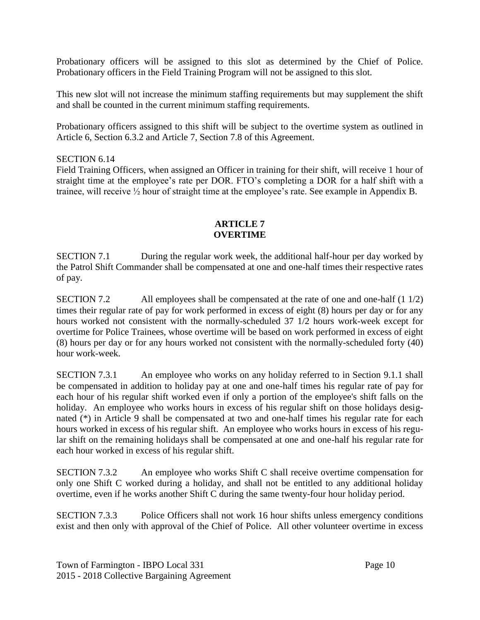Probationary officers will be assigned to this slot as determined by the Chief of Police. Probationary officers in the Field Training Program will not be assigned to this slot.

This new slot will not increase the minimum staffing requirements but may supplement the shift and shall be counted in the current minimum staffing requirements.

Probationary officers assigned to this shift will be subject to the overtime system as outlined in Article 6, Section 6.3.2 and Article 7, Section 7.8 of this Agreement.

#### SECTION 6.14

Field Training Officers, when assigned an Officer in training for their shift, will receive 1 hour of straight time at the employee's rate per DOR. FTO's completing a DOR for a half shift with a trainee, will receive ½ hour of straight time at the employee's rate. See example in Appendix B.

#### **ARTICLE 7 OVERTIME**

SECTION 7.1 During the regular work week, the additional half-hour per day worked by the Patrol Shift Commander shall be compensated at one and one-half times their respective rates of pay.

SECTION 7.2 All employees shall be compensated at the rate of one and one-half (1 1/2) times their regular rate of pay for work performed in excess of eight (8) hours per day or for any hours worked not consistent with the normally-scheduled 37 1/2 hours work-week except for overtime for Police Trainees, whose overtime will be based on work performed in excess of eight (8) hours per day or for any hours worked not consistent with the normally-scheduled forty (40) hour work-week.

SECTION 7.3.1 An employee who works on any holiday referred to in Section 9.1.1 shall be compensated in addition to holiday pay at one and one-half times his regular rate of pay for each hour of his regular shift worked even if only a portion of the employee's shift falls on the holiday. An employee who works hours in excess of his regular shift on those holidays designated (\*) in Article 9 shall be compensated at two and one-half times his regular rate for each hours worked in excess of his regular shift. An employee who works hours in excess of his regular shift on the remaining holidays shall be compensated at one and one-half his regular rate for each hour worked in excess of his regular shift.

SECTION 7.3.2 An employee who works Shift C shall receive overtime compensation for only one Shift C worked during a holiday, and shall not be entitled to any additional holiday overtime, even if he works another Shift C during the same twenty-four hour holiday period.

SECTION 7.3.3 Police Officers shall not work 16 hour shifts unless emergency conditions exist and then only with approval of the Chief of Police. All other volunteer overtime in excess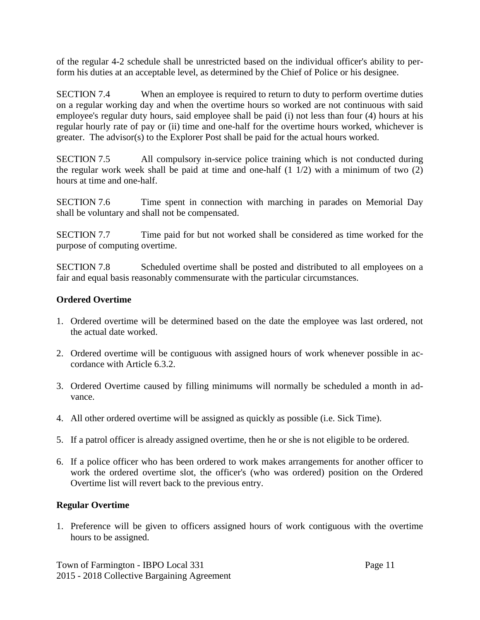of the regular 4-2 schedule shall be unrestricted based on the individual officer's ability to perform his duties at an acceptable level, as determined by the Chief of Police or his designee.

SECTION 7.4 When an employee is required to return to duty to perform overtime duties on a regular working day and when the overtime hours so worked are not continuous with said employee's regular duty hours, said employee shall be paid (i) not less than four (4) hours at his regular hourly rate of pay or (ii) time and one-half for the overtime hours worked, whichever is greater. The advisor(s) to the Explorer Post shall be paid for the actual hours worked.

SECTION 7.5 All compulsory in-service police training which is not conducted during the regular work week shall be paid at time and one-half  $(1\ 1/2)$  with a minimum of two  $(2)$ hours at time and one-half.

SECTION 7.6 Time spent in connection with marching in parades on Memorial Day shall be voluntary and shall not be compensated.

SECTION 7.7 Time paid for but not worked shall be considered as time worked for the purpose of computing overtime.

SECTION 7.8 Scheduled overtime shall be posted and distributed to all employees on a fair and equal basis reasonably commensurate with the particular circumstances.

## **Ordered Overtime**

- 1. Ordered overtime will be determined based on the date the employee was last ordered, not the actual date worked.
- 2. Ordered overtime will be contiguous with assigned hours of work whenever possible in accordance with Article 6.3.2.
- 3. Ordered Overtime caused by filling minimums will normally be scheduled a month in advance.
- 4. All other ordered overtime will be assigned as quickly as possible (i.e. Sick Time).
- 5. If a patrol officer is already assigned overtime, then he or she is not eligible to be ordered.
- 6. If a police officer who has been ordered to work makes arrangements for another officer to work the ordered overtime slot, the officer's (who was ordered) position on the Ordered Overtime list will revert back to the previous entry.

## **Regular Overtime**

1. Preference will be given to officers assigned hours of work contiguous with the overtime hours to be assigned.

Town of Farmington - IBPO Local 331 Page 11 2015 - 2018 Collective Bargaining Agreement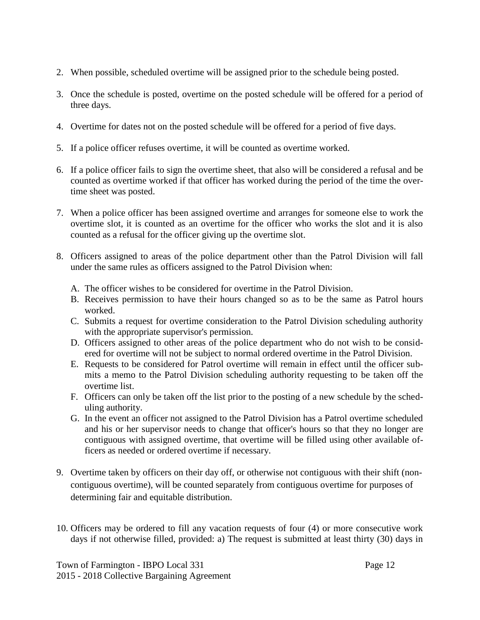- 2. When possible, scheduled overtime will be assigned prior to the schedule being posted.
- 3. Once the schedule is posted, overtime on the posted schedule will be offered for a period of three days.
- 4. Overtime for dates not on the posted schedule will be offered for a period of five days.
- 5. If a police officer refuses overtime, it will be counted as overtime worked.
- 6. If a police officer fails to sign the overtime sheet, that also will be considered a refusal and be counted as overtime worked if that officer has worked during the period of the time the overtime sheet was posted.
- 7. When a police officer has been assigned overtime and arranges for someone else to work the overtime slot, it is counted as an overtime for the officer who works the slot and it is also counted as a refusal for the officer giving up the overtime slot.
- 8. Officers assigned to areas of the police department other than the Patrol Division will fall under the same rules as officers assigned to the Patrol Division when:
	- A. The officer wishes to be considered for overtime in the Patrol Division.
	- B. Receives permission to have their hours changed so as to be the same as Patrol hours worked.
	- C. Submits a request for overtime consideration to the Patrol Division scheduling authority with the appropriate supervisor's permission.
	- D. Officers assigned to other areas of the police department who do not wish to be considered for overtime will not be subject to normal ordered overtime in the Patrol Division.
	- E. Requests to be considered for Patrol overtime will remain in effect until the officer submits a memo to the Patrol Division scheduling authority requesting to be taken off the overtime list.
	- F. Officers can only be taken off the list prior to the posting of a new schedule by the scheduling authority.
	- G. In the event an officer not assigned to the Patrol Division has a Patrol overtime scheduled and his or her supervisor needs to change that officer's hours so that they no longer are contiguous with assigned overtime, that overtime will be filled using other available officers as needed or ordered overtime if necessary.
- 9. Overtime taken by officers on their day off, or otherwise not contiguous with their shift (noncontiguous overtime), will be counted separately from contiguous overtime for purposes of determining fair and equitable distribution.
- 10. Officers may be ordered to fill any vacation requests of four (4) or more consecutive work days if not otherwise filled, provided: a) The request is submitted at least thirty (30) days in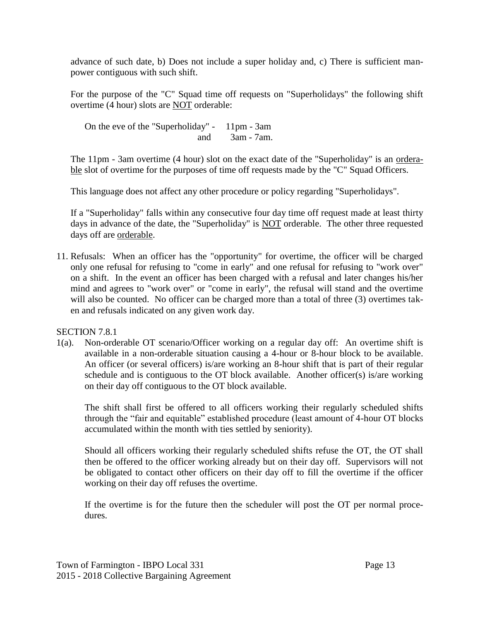advance of such date, b) Does not include a super holiday and, c) There is sufficient manpower contiguous with such shift.

For the purpose of the "C" Squad time off requests on "Superholidays" the following shift overtime (4 hour) slots are NOT orderable:

On the eve of the "Superholiday" - 11pm - 3am and 3am - 7am.

The 11pm - 3am overtime (4 hour) slot on the exact date of the "Superholiday" is an <u>ordera-</u> ble slot of overtime for the purposes of time off requests made by the "C" Squad Officers.

This language does not affect any other procedure or policy regarding "Superholidays".

If a "Superholiday" falls within any consecutive four day time off request made at least thirty days in advance of the date, the "Superholiday" is NOT orderable. The other three requested days off are orderable.

11. Refusals: When an officer has the "opportunity" for overtime, the officer will be charged only one refusal for refusing to "come in early" and one refusal for refusing to "work over" on a shift. In the event an officer has been charged with a refusal and later changes his/her mind and agrees to "work over" or "come in early", the refusal will stand and the overtime will also be counted. No officer can be charged more than a total of three (3) overtimes taken and refusals indicated on any given work day.

SECTION 7.8.1

1(a). Non-orderable OT scenario/Officer working on a regular day off: An overtime shift is available in a non-orderable situation causing a 4-hour or 8-hour block to be available. An officer (or several officers) is/are working an 8-hour shift that is part of their regular schedule and is contiguous to the OT block available. Another officer(s) is/are working on their day off contiguous to the OT block available.

The shift shall first be offered to all officers working their regularly scheduled shifts through the "fair and equitable" established procedure (least amount of 4-hour OT blocks accumulated within the month with ties settled by seniority).

Should all officers working their regularly scheduled shifts refuse the OT, the OT shall then be offered to the officer working already but on their day off. Supervisors will not be obligated to contact other officers on their day off to fill the overtime if the officer working on their day off refuses the overtime.

If the overtime is for the future then the scheduler will post the OT per normal procedures.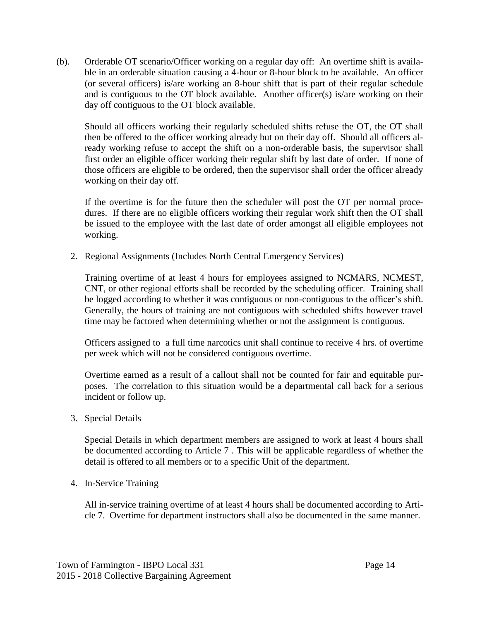(b). Orderable OT scenario/Officer working on a regular day off: An overtime shift is available in an orderable situation causing a 4-hour or 8-hour block to be available. An officer (or several officers) is/are working an 8-hour shift that is part of their regular schedule and is contiguous to the OT block available. Another officer(s) is/are working on their day off contiguous to the OT block available.

Should all officers working their regularly scheduled shifts refuse the OT, the OT shall then be offered to the officer working already but on their day off. Should all officers already working refuse to accept the shift on a non-orderable basis, the supervisor shall first order an eligible officer working their regular shift by last date of order. If none of those officers are eligible to be ordered, then the supervisor shall order the officer already working on their day off.

If the overtime is for the future then the scheduler will post the OT per normal procedures. If there are no eligible officers working their regular work shift then the OT shall be issued to the employee with the last date of order amongst all eligible employees not working.

2. Regional Assignments (Includes North Central Emergency Services)

Training overtime of at least 4 hours for employees assigned to NCMARS, NCMEST, CNT, or other regional efforts shall be recorded by the scheduling officer. Training shall be logged according to whether it was contiguous or non-contiguous to the officer's shift. Generally, the hours of training are not contiguous with scheduled shifts however travel time may be factored when determining whether or not the assignment is contiguous.

Officers assigned to a full time narcotics unit shall continue to receive 4 hrs. of overtime per week which will not be considered contiguous overtime.

Overtime earned as a result of a callout shall not be counted for fair and equitable purposes. The correlation to this situation would be a departmental call back for a serious incident or follow up.

3. Special Details

Special Details in which department members are assigned to work at least 4 hours shall be documented according to Article 7 . This will be applicable regardless of whether the detail is offered to all members or to a specific Unit of the department.

## 4. In-Service Training

All in-service training overtime of at least 4 hours shall be documented according to Article 7. Overtime for department instructors shall also be documented in the same manner.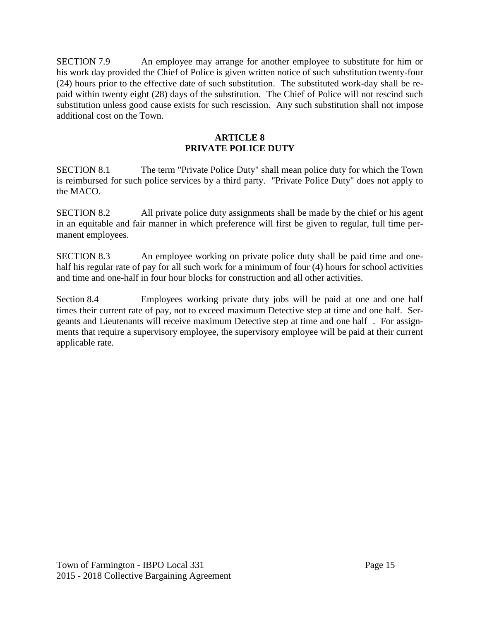SECTION 7.9 An employee may arrange for another employee to substitute for him or his work day provided the Chief of Police is given written notice of such substitution twenty-four (24) hours prior to the effective date of such substitution. The substituted work-day shall be repaid within twenty eight (28) days of the substitution. The Chief of Police will not rescind such substitution unless good cause exists for such rescission. Any such substitution shall not impose additional cost on the Town.

## **ARTICLE 8 PRIVATE POLICE DUTY**

SECTION 8.1 The term "Private Police Duty" shall mean police duty for which the Town is reimbursed for such police services by a third party. "Private Police Duty" does not apply to the MACO.

SECTION 8.2 All private police duty assignments shall be made by the chief or his agent in an equitable and fair manner in which preference will first be given to regular, full time permanent employees.

SECTION 8.3 An employee working on private police duty shall be paid time and onehalf his regular rate of pay for all such work for a minimum of four (4) hours for school activities and time and one-half in four hour blocks for construction and all other activities.

Section 8.4 Employees working private duty jobs will be paid at one and one half times their current rate of pay, not to exceed maximum Detective step at time and one half. Sergeants and Lieutenants will receive maximum Detective step at time and one half . For assignments that require a supervisory employee, the supervisory employee will be paid at their current applicable rate.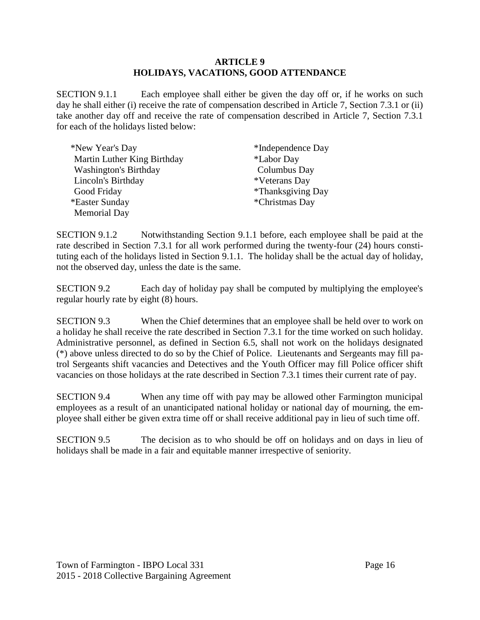#### **ARTICLE 9 HOLIDAYS, VACATIONS, GOOD ATTENDANCE**

SECTION 9.1.1 Each employee shall either be given the day off or, if he works on such day he shall either (i) receive the rate of compensation described in Article 7, Section 7.3.1 or (ii) take another day off and receive the rate of compensation described in Article 7, Section 7.3.1 for each of the holidays listed below:

| *New Year's Day              | *Independence Day        |
|------------------------------|--------------------------|
| Martin Luther King Birthday  | <i>*Labor Day</i>        |
| <b>Washington's Birthday</b> | Columbus Day             |
| Lincoln's Birthday           | *Veterans Day            |
| Good Friday                  | <i>*Thanksgiving Day</i> |
| *Easter Sunday               | *Christmas Day           |
| <b>Memorial Day</b>          |                          |

SECTION 9.1.2 Notwithstanding Section 9.1.1 before, each employee shall be paid at the rate described in Section 7.3.1 for all work performed during the twenty-four (24) hours constituting each of the holidays listed in Section 9.1.1. The holiday shall be the actual day of holiday, not the observed day, unless the date is the same.

SECTION 9.2 Each day of holiday pay shall be computed by multiplying the employee's regular hourly rate by eight (8) hours.

SECTION 9.3 When the Chief determines that an employee shall be held over to work on a holiday he shall receive the rate described in Section 7.3.1 for the time worked on such holiday. Administrative personnel, as defined in Section 6.5, shall not work on the holidays designated (\*) above unless directed to do so by the Chief of Police. Lieutenants and Sergeants may fill patrol Sergeants shift vacancies and Detectives and the Youth Officer may fill Police officer shift vacancies on those holidays at the rate described in Section 7.3.1 times their current rate of pay.

SECTION 9.4 When any time off with pay may be allowed other Farmington municipal employees as a result of an unanticipated national holiday or national day of mourning, the employee shall either be given extra time off or shall receive additional pay in lieu of such time off.

SECTION 9.5 The decision as to who should be off on holidays and on days in lieu of holidays shall be made in a fair and equitable manner irrespective of seniority.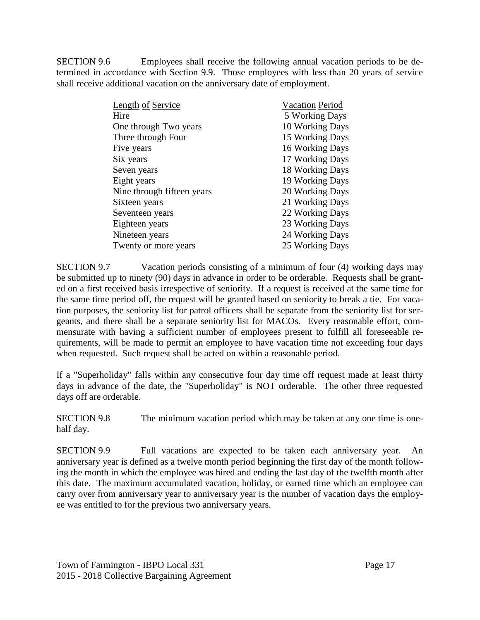SECTION 9.6 Employees shall receive the following annual vacation periods to be determined in accordance with Section 9.9. Those employees with less than 20 years of service shall receive additional vacation on the anniversary date of employment.

| <b>Length of Service</b>   | <b>Vacation Period</b> |
|----------------------------|------------------------|
| Hire                       | 5 Working Days         |
| One through Two years      | 10 Working Days        |
| Three through Four         | 15 Working Days        |
| Five years                 | 16 Working Days        |
| Six years                  | 17 Working Days        |
| Seven years                | 18 Working Days        |
| Eight years                | 19 Working Days        |
| Nine through fifteen years | 20 Working Days        |
| Sixteen years              | 21 Working Days        |
| Seventeen years            | 22 Working Days        |
| Eighteen years             | 23 Working Days        |
| Nineteen years             | 24 Working Days        |
| Twenty or more years       | 25 Working Days        |

SECTION 9.7 Vacation periods consisting of a minimum of four (4) working days may be submitted up to ninety (90) days in advance in order to be orderable. Requests shall be granted on a first received basis irrespective of seniority. If a request is received at the same time for the same time period off, the request will be granted based on seniority to break a tie. For vacation purposes, the seniority list for patrol officers shall be separate from the seniority list for sergeants, and there shall be a separate seniority list for MACOs. Every reasonable effort, commensurate with having a sufficient number of employees present to fulfill all foreseeable requirements, will be made to permit an employee to have vacation time not exceeding four days when requested. Such request shall be acted on within a reasonable period.

If a "Superholiday" falls within any consecutive four day time off request made at least thirty days in advance of the date, the "Superholiday" is NOT orderable. The other three requested days off are orderable.

SECTION 9.8 The minimum vacation period which may be taken at any one time is onehalf day.

SECTION 9.9 Full vacations are expected to be taken each anniversary year. An anniversary year is defined as a twelve month period beginning the first day of the month following the month in which the employee was hired and ending the last day of the twelfth month after this date. The maximum accumulated vacation, holiday, or earned time which an employee can carry over from anniversary year to anniversary year is the number of vacation days the employee was entitled to for the previous two anniversary years.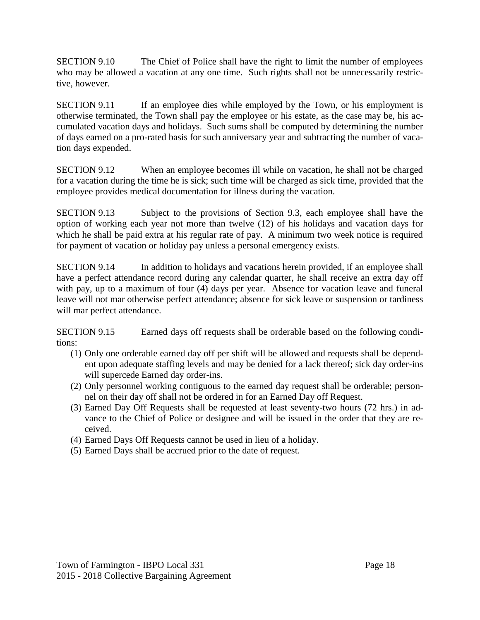SECTION 9.10 The Chief of Police shall have the right to limit the number of employees who may be allowed a vacation at any one time. Such rights shall not be unnecessarily restrictive, however.

SECTION 9.11 If an employee dies while employed by the Town, or his employment is otherwise terminated, the Town shall pay the employee or his estate, as the case may be, his accumulated vacation days and holidays. Such sums shall be computed by determining the number of days earned on a pro-rated basis for such anniversary year and subtracting the number of vacation days expended.

SECTION 9.12 When an employee becomes ill while on vacation, he shall not be charged for a vacation during the time he is sick; such time will be charged as sick time, provided that the employee provides medical documentation for illness during the vacation.

SECTION 9.13 Subject to the provisions of Section 9.3, each employee shall have the option of working each year not more than twelve (12) of his holidays and vacation days for which he shall be paid extra at his regular rate of pay. A minimum two week notice is required for payment of vacation or holiday pay unless a personal emergency exists.

SECTION 9.14 In addition to holidays and vacations herein provided, if an employee shall have a perfect attendance record during any calendar quarter, he shall receive an extra day off with pay, up to a maximum of four (4) days per year. Absence for vacation leave and funeral leave will not mar otherwise perfect attendance; absence for sick leave or suspension or tardiness will mar perfect attendance.

SECTION 9.15 Earned days off requests shall be orderable based on the following conditions:

- (1) Only one orderable earned day off per shift will be allowed and requests shall be dependent upon adequate staffing levels and may be denied for a lack thereof; sick day order-ins will supercede Earned day order-ins.
- (2) Only personnel working contiguous to the earned day request shall be orderable; personnel on their day off shall not be ordered in for an Earned Day off Request.
- (3) Earned Day Off Requests shall be requested at least seventy-two hours (72 hrs.) in advance to the Chief of Police or designee and will be issued in the order that they are received.
- (4) Earned Days Off Requests cannot be used in lieu of a holiday.
- (5) Earned Days shall be accrued prior to the date of request.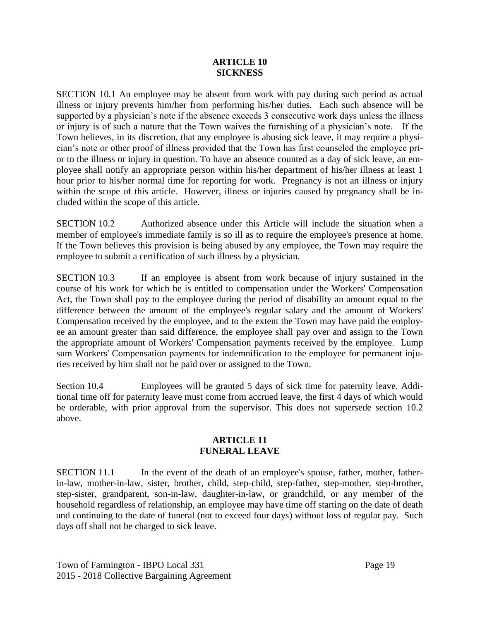#### **ARTICLE 10 SICKNESS**

SECTION 10.1 An employee may be absent from work with pay during such period as actual illness or injury prevents him/her from performing his/her duties. Each such absence will be supported by a physician's note if the absence exceeds 3 consecutive work days unless the illness or injury is of such a nature that the Town waives the furnishing of a physician's note. If the Town believes, in its discretion, that any employee is abusing sick leave, it may require a physician's note or other proof of illness provided that the Town has first counseled the employee prior to the illness or injury in question. To have an absence counted as a day of sick leave, an employee shall notify an appropriate person within his/her department of his/her illness at least 1 hour prior to his/her normal time for reporting for work. Pregnancy is not an illness or injury within the scope of this article. However, illness or injuries caused by pregnancy shall be included within the scope of this article.

SECTION 10.2 Authorized absence under this Article will include the situation when a member of employee's immediate family is so ill as to require the employee's presence at home. If the Town believes this provision is being abused by any employee, the Town may require the employee to submit a certification of such illness by a physician.

SECTION 10.3 If an employee is absent from work because of injury sustained in the course of his work for which he is entitled to compensation under the Workers' Compensation Act, the Town shall pay to the employee during the period of disability an amount equal to the difference between the amount of the employee's regular salary and the amount of Workers' Compensation received by the employee, and to the extent the Town may have paid the employee an amount greater than said difference, the employee shall pay over and assign to the Town the appropriate amount of Workers' Compensation payments received by the employee. Lump sum Workers' Compensation payments for indemnification to the employee for permanent injuries received by him shall not be paid over or assigned to the Town.

Section 10.4 Employees will be granted 5 days of sick time for paternity leave. Additional time off for paternity leave must come from accrued leave, the first 4 days of which would be orderable, with prior approval from the supervisor. This does not supersede section 10.2 above.

#### **ARTICLE 11 FUNERAL LEAVE**

SECTION 11.1 In the event of the death of an employee's spouse, father, mother, fatherin-law, mother-in-law, sister, brother, child, step-child, step-father, step-mother, step-brother, step-sister, grandparent, son-in-law, daughter-in-law, or grandchild, or any member of the household regardless of relationship, an employee may have time off starting on the date of death and continuing to the date of funeral (not to exceed four days) without loss of regular pay. Such days off shall not be charged to sick leave.

Town of Farmington - IBPO Local 331 Page 19 2015 - 2018 Collective Bargaining Agreement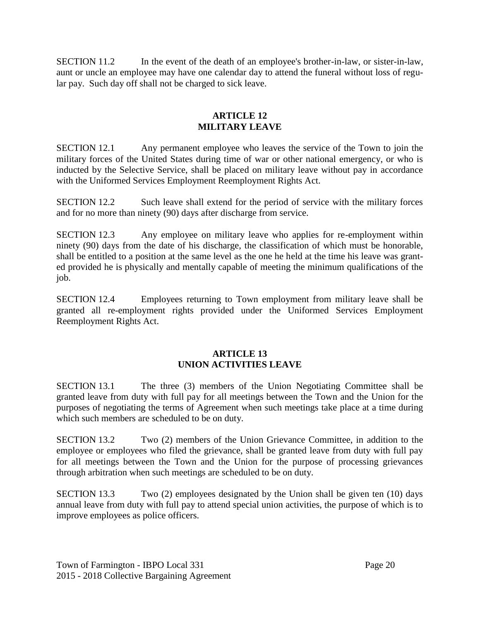SECTION 11.2 In the event of the death of an employee's brother-in-law, or sister-in-law, aunt or uncle an employee may have one calendar day to attend the funeral without loss of regular pay. Such day off shall not be charged to sick leave.

#### **ARTICLE 12 MILITARY LEAVE**

SECTION 12.1 Any permanent employee who leaves the service of the Town to join the military forces of the United States during time of war or other national emergency, or who is inducted by the Selective Service, shall be placed on military leave without pay in accordance with the Uniformed Services Employment Reemployment Rights Act.

SECTION 12.2 Such leave shall extend for the period of service with the military forces and for no more than ninety (90) days after discharge from service.

SECTION 12.3 Any employee on military leave who applies for re-employment within ninety (90) days from the date of his discharge, the classification of which must be honorable, shall be entitled to a position at the same level as the one he held at the time his leave was granted provided he is physically and mentally capable of meeting the minimum qualifications of the job.

SECTION 12.4 Employees returning to Town employment from military leave shall be granted all re-employment rights provided under the Uniformed Services Employment Reemployment Rights Act.

#### **ARTICLE 13 UNION ACTIVITIES LEAVE**

SECTION 13.1 The three (3) members of the Union Negotiating Committee shall be granted leave from duty with full pay for all meetings between the Town and the Union for the purposes of negotiating the terms of Agreement when such meetings take place at a time during which such members are scheduled to be on duty.

SECTION 13.2 Two (2) members of the Union Grievance Committee, in addition to the employee or employees who filed the grievance, shall be granted leave from duty with full pay for all meetings between the Town and the Union for the purpose of processing grievances through arbitration when such meetings are scheduled to be on duty.

SECTION 13.3 Two (2) employees designated by the Union shall be given ten (10) days annual leave from duty with full pay to attend special union activities, the purpose of which is to improve employees as police officers.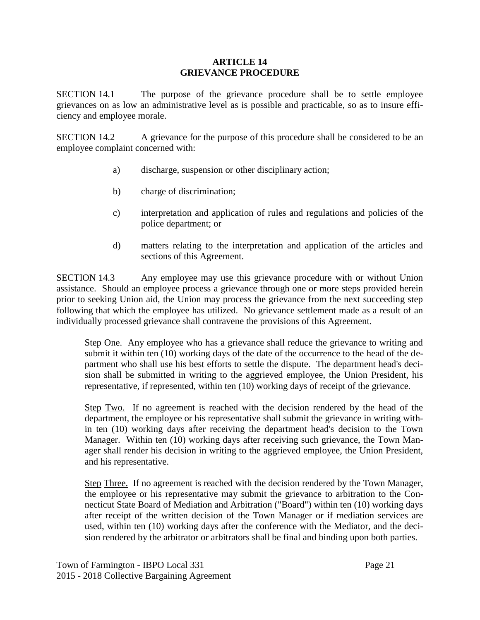#### **ARTICLE 14 GRIEVANCE PROCEDURE**

SECTION 14.1 The purpose of the grievance procedure shall be to settle employee grievances on as low an administrative level as is possible and practicable, so as to insure efficiency and employee morale.

SECTION 14.2 A grievance for the purpose of this procedure shall be considered to be an employee complaint concerned with:

- a) discharge, suspension or other disciplinary action;
- b) charge of discrimination;
- c) interpretation and application of rules and regulations and policies of the police department; or
- d) matters relating to the interpretation and application of the articles and sections of this Agreement.

SECTION 14.3 Any employee may use this grievance procedure with or without Union assistance. Should an employee process a grievance through one or more steps provided herein prior to seeking Union aid, the Union may process the grievance from the next succeeding step following that which the employee has utilized. No grievance settlement made as a result of an individually processed grievance shall contravene the provisions of this Agreement.

Step One. Any employee who has a grievance shall reduce the grievance to writing and submit it within ten (10) working days of the date of the occurrence to the head of the department who shall use his best efforts to settle the dispute. The department head's decision shall be submitted in writing to the aggrieved employee, the Union President, his representative, if represented, within ten (10) working days of receipt of the grievance.

Step Two. If no agreement is reached with the decision rendered by the head of the department, the employee or his representative shall submit the grievance in writing within ten (10) working days after receiving the department head's decision to the Town Manager. Within ten (10) working days after receiving such grievance, the Town Manager shall render his decision in writing to the aggrieved employee, the Union President, and his representative.

Step Three. If no agreement is reached with the decision rendered by the Town Manager, the employee or his representative may submit the grievance to arbitration to the Connecticut State Board of Mediation and Arbitration ("Board") within ten (10) working days after receipt of the written decision of the Town Manager or if mediation services are used, within ten (10) working days after the conference with the Mediator, and the decision rendered by the arbitrator or arbitrators shall be final and binding upon both parties.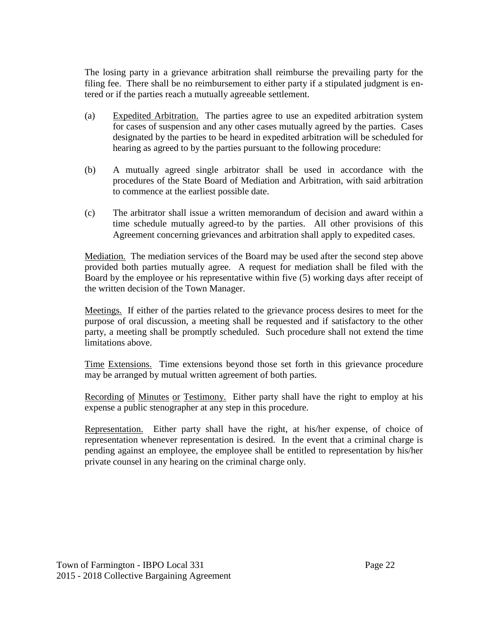The losing party in a grievance arbitration shall reimburse the prevailing party for the filing fee. There shall be no reimbursement to either party if a stipulated judgment is entered or if the parties reach a mutually agreeable settlement.

- (a) Expedited Arbitration. The parties agree to use an expedited arbitration system for cases of suspension and any other cases mutually agreed by the parties. Cases designated by the parties to be heard in expedited arbitration will be scheduled for hearing as agreed to by the parties pursuant to the following procedure:
- (b) A mutually agreed single arbitrator shall be used in accordance with the procedures of the State Board of Mediation and Arbitration, with said arbitration to commence at the earliest possible date.
- (c) The arbitrator shall issue a written memorandum of decision and award within a time schedule mutually agreed-to by the parties. All other provisions of this Agreement concerning grievances and arbitration shall apply to expedited cases.

Mediation. The mediation services of the Board may be used after the second step above provided both parties mutually agree. A request for mediation shall be filed with the Board by the employee or his representative within five (5) working days after receipt of the written decision of the Town Manager.

Meetings. If either of the parties related to the grievance process desires to meet for the purpose of oral discussion, a meeting shall be requested and if satisfactory to the other party, a meeting shall be promptly scheduled. Such procedure shall not extend the time limitations above.

Time Extensions. Time extensions beyond those set forth in this grievance procedure may be arranged by mutual written agreement of both parties.

Recording of Minutes or Testimony. Either party shall have the right to employ at his expense a public stenographer at any step in this procedure.

Representation. Either party shall have the right, at his/her expense, of choice of representation whenever representation is desired. In the event that a criminal charge is pending against an employee, the employee shall be entitled to representation by his/her private counsel in any hearing on the criminal charge only.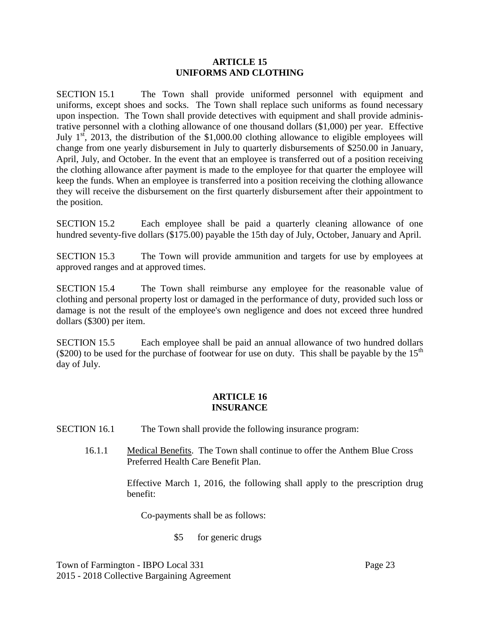#### **ARTICLE 15 UNIFORMS AND CLOTHING**

SECTION 15.1 The Town shall provide uniformed personnel with equipment and uniforms, except shoes and socks. The Town shall replace such uniforms as found necessary upon inspection. The Town shall provide detectives with equipment and shall provide administrative personnel with a clothing allowance of one thousand dollars (\$1,000) per year. Effective July  $1<sup>st</sup>$ , 2013, the distribution of the \$1,000.00 clothing allowance to eligible employees will change from one yearly disbursement in July to quarterly disbursements of \$250.00 in January, April, July, and October. In the event that an employee is transferred out of a position receiving the clothing allowance after payment is made to the employee for that quarter the employee will keep the funds. When an employee is transferred into a position receiving the clothing allowance they will receive the disbursement on the first quarterly disbursement after their appointment to the position.

SECTION 15.2 Each employee shall be paid a quarterly cleaning allowance of one hundred seventy-five dollars (\$175.00) payable the 15th day of July, October, January and April.

SECTION 15.3 The Town will provide ammunition and targets for use by employees at approved ranges and at approved times.

SECTION 15.4 The Town shall reimburse any employee for the reasonable value of clothing and personal property lost or damaged in the performance of duty, provided such loss or damage is not the result of the employee's own negligence and does not exceed three hundred dollars (\$300) per item.

SECTION 15.5 Each employee shall be paid an annual allowance of two hundred dollars (\$200) to be used for the purchase of footwear for use on duty. This shall be payable by the  $15<sup>th</sup>$ day of July.

## **ARTICLE 16 INSURANCE**

- SECTION 16.1 The Town shall provide the following insurance program:
	- 16.1.1 Medical Benefits. The Town shall continue to offer the Anthem Blue Cross Preferred Health Care Benefit Plan.

Effective March 1, 2016, the following shall apply to the prescription drug benefit:

Co-payments shall be as follows:

\$5 for generic drugs

Town of Farmington - IBPO Local 331 Page 23 2015 - 2018 Collective Bargaining Agreement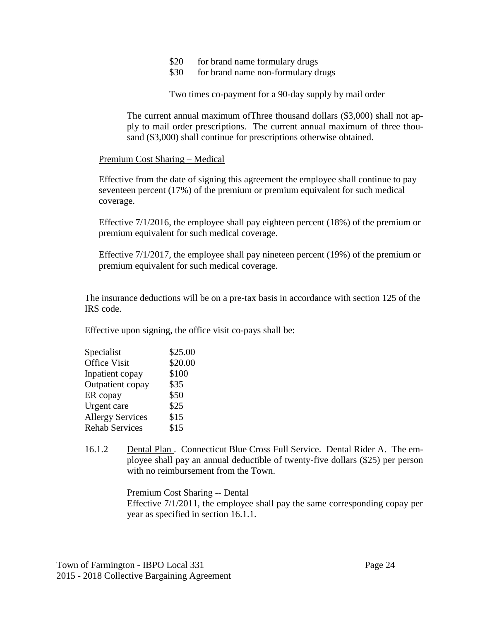- \$20 for brand name formulary drugs
- \$30 for brand name non-formulary drugs

Two times co-payment for a 90-day supply by mail order

The current annual maximum ofThree thousand dollars (\$3,000) shall not apply to mail order prescriptions. The current annual maximum of three thousand (\$3,000) shall continue for prescriptions otherwise obtained.

#### Premium Cost Sharing – Medical

Effective from the date of signing this agreement the employee shall continue to pay seventeen percent (17%) of the premium or premium equivalent for such medical coverage.

Effective 7/1/2016, the employee shall pay eighteen percent (18%) of the premium or premium equivalent for such medical coverage.

Effective 7/1/2017, the employee shall pay nineteen percent (19%) of the premium or premium equivalent for such medical coverage.

The insurance deductions will be on a pre-tax basis in accordance with section 125 of the IRS code.

Effective upon signing, the office visit co-pays shall be:

| Specialist              | \$25.00 |
|-------------------------|---------|
| Office Visit            | \$20.00 |
| Inpatient copay         | \$100   |
| Outpatient copay        | \$35    |
| ER copay                | \$50    |
| Urgent care             | \$25    |
| <b>Allergy Services</b> | \$15    |
| <b>Rehab Services</b>   | \$15    |

16.1.2 Dental Plan . Connecticut Blue Cross Full Service. Dental Rider A. The employee shall pay an annual deductible of twenty-five dollars (\$25) per person with no reimbursement from the Town.

> Premium Cost Sharing -- Dental Effective 7/1/2011, the employee shall pay the same corresponding copay per year as specified in section 16.1.1.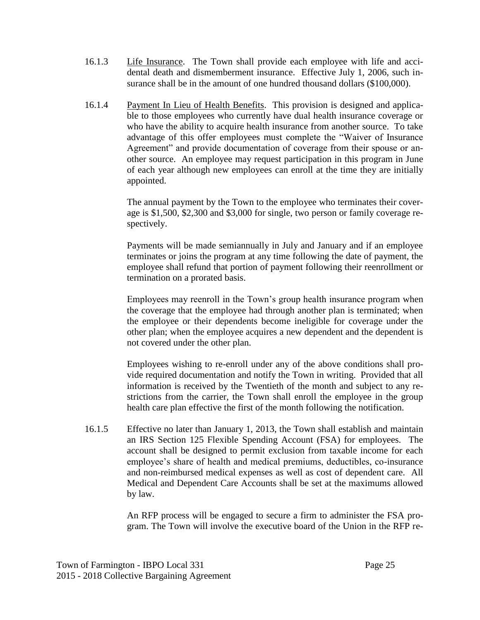- 16.1.3 Life Insurance. The Town shall provide each employee with life and accidental death and dismemberment insurance. Effective July 1, 2006, such insurance shall be in the amount of one hundred thousand dollars (\$100,000).
- 16.1.4 Payment In Lieu of Health Benefits. This provision is designed and applicable to those employees who currently have dual health insurance coverage or who have the ability to acquire health insurance from another source. To take advantage of this offer employees must complete the "Waiver of Insurance Agreement" and provide documentation of coverage from their spouse or another source. An employee may request participation in this program in June of each year although new employees can enroll at the time they are initially appointed.

The annual payment by the Town to the employee who terminates their coverage is \$1,500, \$2,300 and \$3,000 for single, two person or family coverage respectively.

Payments will be made semiannually in July and January and if an employee terminates or joins the program at any time following the date of payment, the employee shall refund that portion of payment following their reenrollment or termination on a prorated basis.

Employees may reenroll in the Town's group health insurance program when the coverage that the employee had through another plan is terminated; when the employee or their dependents become ineligible for coverage under the other plan; when the employee acquires a new dependent and the dependent is not covered under the other plan.

Employees wishing to re-enroll under any of the above conditions shall provide required documentation and notify the Town in writing. Provided that all information is received by the Twentieth of the month and subject to any restrictions from the carrier, the Town shall enroll the employee in the group health care plan effective the first of the month following the notification.

16.1.5 Effective no later than January 1, 2013, the Town shall establish and maintain an IRS Section 125 Flexible Spending Account (FSA) for employees. The account shall be designed to permit exclusion from taxable income for each employee's share of health and medical premiums, deductibles, co-insurance and non-reimbursed medical expenses as well as cost of dependent care. All Medical and Dependent Care Accounts shall be set at the maximums allowed by law.

> An RFP process will be engaged to secure a firm to administer the FSA program. The Town will involve the executive board of the Union in the RFP re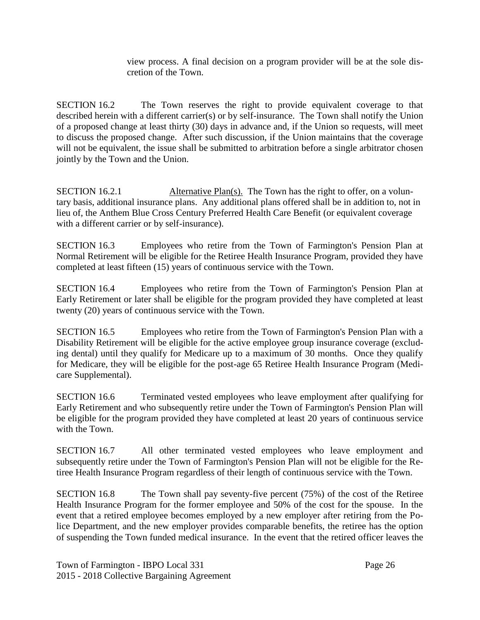view process. A final decision on a program provider will be at the sole discretion of the Town.

SECTION 16.2 The Town reserves the right to provide equivalent coverage to that described herein with a different carrier(s) or by self-insurance. The Town shall notify the Union of a proposed change at least thirty (30) days in advance and, if the Union so requests, will meet to discuss the proposed change. After such discussion, if the Union maintains that the coverage will not be equivalent, the issue shall be submitted to arbitration before a single arbitrator chosen jointly by the Town and the Union.

SECTION 16.2.1 Alternative Plan(s). The Town has the right to offer, on a voluntary basis, additional insurance plans. Any additional plans offered shall be in addition to, not in lieu of, the Anthem Blue Cross Century Preferred Health Care Benefit (or equivalent coverage with a different carrier or by self-insurance).

SECTION 16.3 Employees who retire from the Town of Farmington's Pension Plan at Normal Retirement will be eligible for the Retiree Health Insurance Program, provided they have completed at least fifteen (15) years of continuous service with the Town.

SECTION 16.4 Employees who retire from the Town of Farmington's Pension Plan at Early Retirement or later shall be eligible for the program provided they have completed at least twenty (20) years of continuous service with the Town.

SECTION 16.5 Employees who retire from the Town of Farmington's Pension Plan with a Disability Retirement will be eligible for the active employee group insurance coverage (excluding dental) until they qualify for Medicare up to a maximum of 30 months. Once they qualify for Medicare, they will be eligible for the post-age 65 Retiree Health Insurance Program (Medicare Supplemental).

SECTION 16.6 Terminated vested employees who leave employment after qualifying for Early Retirement and who subsequently retire under the Town of Farmington's Pension Plan will be eligible for the program provided they have completed at least 20 years of continuous service with the Town.

SECTION 16.7 All other terminated vested employees who leave employment and subsequently retire under the Town of Farmington's Pension Plan will not be eligible for the Retiree Health Insurance Program regardless of their length of continuous service with the Town.

SECTION 16.8 The Town shall pay seventy-five percent (75%) of the cost of the Retiree Health Insurance Program for the former employee and 50% of the cost for the spouse. In the event that a retired employee becomes employed by a new employer after retiring from the Police Department, and the new employer provides comparable benefits, the retiree has the option of suspending the Town funded medical insurance. In the event that the retired officer leaves the

Town of Farmington - IBPO Local 331 Page 26 2015 - 2018 Collective Bargaining Agreement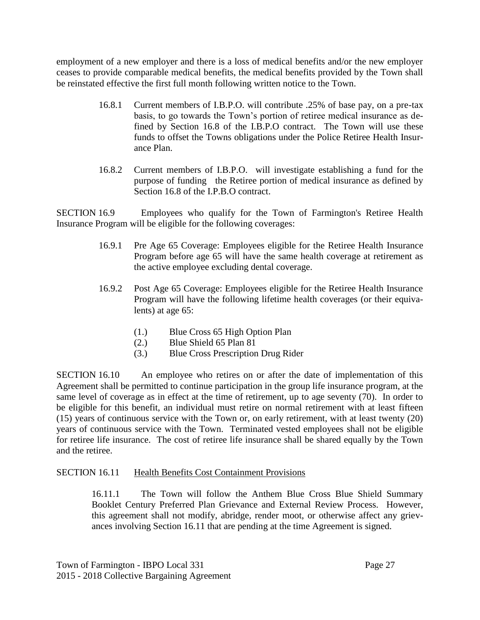employment of a new employer and there is a loss of medical benefits and/or the new employer ceases to provide comparable medical benefits, the medical benefits provided by the Town shall be reinstated effective the first full month following written notice to the Town.

- 16.8.1 Current members of I.B.P.O. will contribute .25% of base pay, on a pre-tax basis, to go towards the Town's portion of retiree medical insurance as defined by Section 16.8 of the I.B.P.O contract. The Town will use these funds to offset the Towns obligations under the Police Retiree Health Insurance Plan.
- 16.8.2 Current members of I.B.P.O. will investigate establishing a fund for the purpose of funding the Retiree portion of medical insurance as defined by Section 16.8 of the I.P.B.O contract.

SECTION 16.9 Employees who qualify for the Town of Farmington's Retiree Health Insurance Program will be eligible for the following coverages:

- 16.9.1 Pre Age 65 Coverage: Employees eligible for the Retiree Health Insurance Program before age 65 will have the same health coverage at retirement as the active employee excluding dental coverage.
- 16.9.2 Post Age 65 Coverage: Employees eligible for the Retiree Health Insurance Program will have the following lifetime health coverages (or their equivalents) at age 65:
	- (1.) Blue Cross 65 High Option Plan
	- (2.) Blue Shield 65 Plan 81
	- (3.) Blue Cross Prescription Drug Rider

SECTION 16.10 An employee who retires on or after the date of implementation of this Agreement shall be permitted to continue participation in the group life insurance program, at the same level of coverage as in effect at the time of retirement, up to age seventy (70). In order to be eligible for this benefit, an individual must retire on normal retirement with at least fifteen (15) years of continuous service with the Town or, on early retirement, with at least twenty (20) years of continuous service with the Town. Terminated vested employees shall not be eligible for retiree life insurance. The cost of retiree life insurance shall be shared equally by the Town and the retiree.

## SECTION 16.11 Health Benefits Cost Containment Provisions

16.11.1 The Town will follow the Anthem Blue Cross Blue Shield Summary Booklet Century Preferred Plan Grievance and External Review Process. However, this agreement shall not modify, abridge, render moot, or otherwise affect any grievances involving Section 16.11 that are pending at the time Agreement is signed.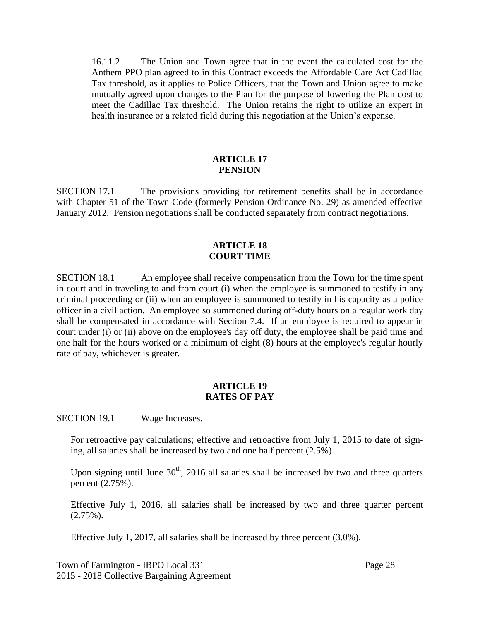16.11.2 The Union and Town agree that in the event the calculated cost for the Anthem PPO plan agreed to in this Contract exceeds the Affordable Care Act Cadillac Tax threshold, as it applies to Police Officers, that the Town and Union agree to make mutually agreed upon changes to the Plan for the purpose of lowering the Plan cost to meet the Cadillac Tax threshold. The Union retains the right to utilize an expert in health insurance or a related field during this negotiation at the Union's expense.

#### **ARTICLE 17 PENSION**

SECTION 17.1 The provisions providing for retirement benefits shall be in accordance with Chapter 51 of the Town Code (formerly Pension Ordinance No. 29) as amended effective January 2012. Pension negotiations shall be conducted separately from contract negotiations.

#### **ARTICLE 18 COURT TIME**

SECTION 18.1 An employee shall receive compensation from the Town for the time spent in court and in traveling to and from court (i) when the employee is summoned to testify in any criminal proceeding or (ii) when an employee is summoned to testify in his capacity as a police officer in a civil action. An employee so summoned during off-duty hours on a regular work day shall be compensated in accordance with Section 7.4. If an employee is required to appear in court under (i) or (ii) above on the employee's day off duty, the employee shall be paid time and one half for the hours worked or a minimum of eight (8) hours at the employee's regular hourly rate of pay, whichever is greater.

#### **ARTICLE 19 RATES OF PAY**

SECTION 19.1 Wage Increases.

For retroactive pay calculations; effective and retroactive from July 1, 2015 to date of signing, all salaries shall be increased by two and one half percent (2.5%).

Upon signing until June  $30<sup>th</sup>$ , 2016 all salaries shall be increased by two and three quarters percent (2.75%).

Effective July 1, 2016, all salaries shall be increased by two and three quarter percent  $(2.75\%)$ .

Effective July 1, 2017, all salaries shall be increased by three percent (3.0%).

Town of Farmington - IBPO Local 331 Page 28 2015 - 2018 Collective Bargaining Agreement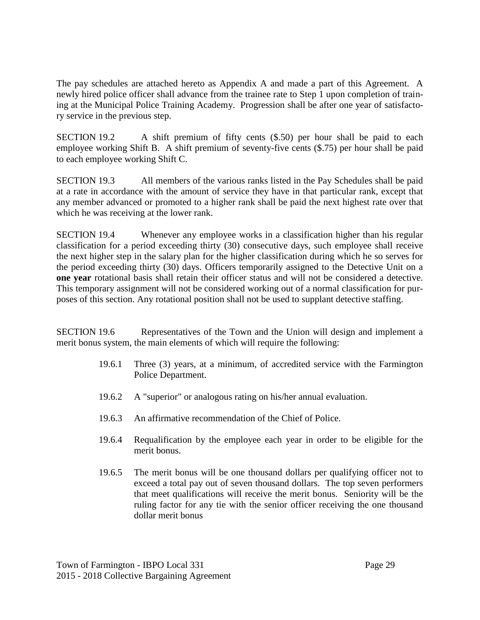The pay schedules are attached hereto as Appendix A and made a part of this Agreement. A newly hired police officer shall advance from the trainee rate to Step 1 upon completion of training at the Municipal Police Training Academy. Progression shall be after one year of satisfactory service in the previous step.

SECTION 19.2 A shift premium of fifty cents (\$.50) per hour shall be paid to each employee working Shift B. A shift premium of seventy-five cents (\$.75) per hour shall be paid to each employee working Shift C.

SECTION 19.3 All members of the various ranks listed in the Pay Schedules shall be paid at a rate in accordance with the amount of service they have in that particular rank, except that any member advanced or promoted to a higher rank shall be paid the next highest rate over that which he was receiving at the lower rank.

SECTION 19.4 Whenever any employee works in a classification higher than his regular classification for a period exceeding thirty (30) consecutive days, such employee shall receive the next higher step in the salary plan for the higher classification during which he so serves for the period exceeding thirty (30) days. Officers temporarily assigned to the Detective Unit on a **one year** rotational basis shall retain their officer status and will not be considered a detective. This temporary assignment will not be considered working out of a normal classification for purposes of this section. Any rotational position shall not be used to supplant detective staffing.

SECTION 19.6 Representatives of the Town and the Union will design and implement a merit bonus system, the main elements of which will require the following:

- 19.6.1 Three (3) years, at a minimum, of accredited service with the Farmington Police Department.
- 19.6.2 A "superior" or analogous rating on his/her annual evaluation.
- 19.6.3 An affirmative recommendation of the Chief of Police.
- 19.6.4 Requalification by the employee each year in order to be eligible for the merit bonus.
- 19.6.5 The merit bonus will be one thousand dollars per qualifying officer not to exceed a total pay out of seven thousand dollars. The top seven performers that meet qualifications will receive the merit bonus. Seniority will be the ruling factor for any tie with the senior officer receiving the one thousand dollar merit bonus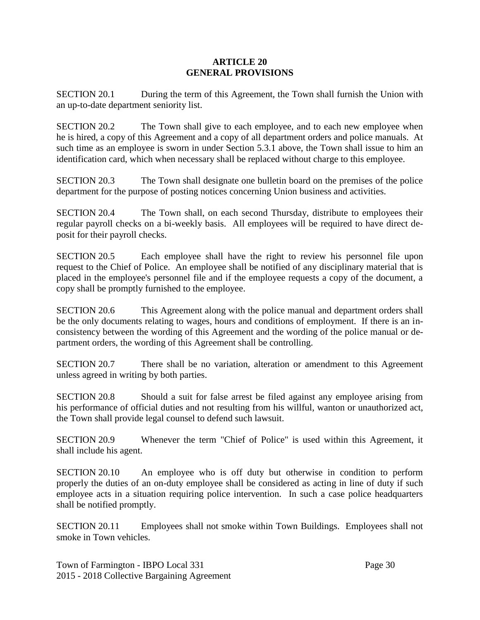#### **ARTICLE 20 GENERAL PROVISIONS**

SECTION 20.1 During the term of this Agreement, the Town shall furnish the Union with an up-to-date department seniority list.

SECTION 20.2 The Town shall give to each employee, and to each new employee when he is hired, a copy of this Agreement and a copy of all department orders and police manuals. At such time as an employee is sworn in under Section 5.3.1 above, the Town shall issue to him an identification card, which when necessary shall be replaced without charge to this employee.

SECTION 20.3 The Town shall designate one bulletin board on the premises of the police department for the purpose of posting notices concerning Union business and activities.

SECTION 20.4 The Town shall, on each second Thursday, distribute to employees their regular payroll checks on a bi-weekly basis. All employees will be required to have direct deposit for their payroll checks.

SECTION 20.5 Each employee shall have the right to review his personnel file upon request to the Chief of Police. An employee shall be notified of any disciplinary material that is placed in the employee's personnel file and if the employee requests a copy of the document, a copy shall be promptly furnished to the employee.

SECTION 20.6 This Agreement along with the police manual and department orders shall be the only documents relating to wages, hours and conditions of employment. If there is an inconsistency between the wording of this Agreement and the wording of the police manual or department orders, the wording of this Agreement shall be controlling.

SECTION 20.7 There shall be no variation, alteration or amendment to this Agreement unless agreed in writing by both parties.

SECTION 20.8 Should a suit for false arrest be filed against any employee arising from his performance of official duties and not resulting from his willful, wanton or unauthorized act, the Town shall provide legal counsel to defend such lawsuit.

SECTION 20.9 Whenever the term "Chief of Police" is used within this Agreement, it shall include his agent.

SECTION 20.10 An employee who is off duty but otherwise in condition to perform properly the duties of an on-duty employee shall be considered as acting in line of duty if such employee acts in a situation requiring police intervention. In such a case police headquarters shall be notified promptly.

SECTION 20.11 Employees shall not smoke within Town Buildings. Employees shall not smoke in Town vehicles.

Town of Farmington - IBPO Local 331 Page 30 2015 - 2018 Collective Bargaining Agreement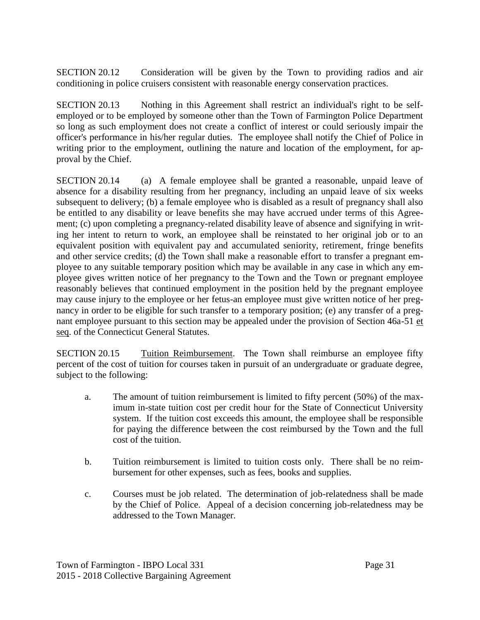SECTION 20.12 Consideration will be given by the Town to providing radios and air conditioning in police cruisers consistent with reasonable energy conservation practices.

SECTION 20.13 Nothing in this Agreement shall restrict an individual's right to be selfemployed or to be employed by someone other than the Town of Farmington Police Department so long as such employment does not create a conflict of interest or could seriously impair the officer's performance in his/her regular duties. The employee shall notify the Chief of Police in writing prior to the employment, outlining the nature and location of the employment, for approval by the Chief.

SECTION 20.14 (a) A female employee shall be granted a reasonable, unpaid leave of absence for a disability resulting from her pregnancy, including an unpaid leave of six weeks subsequent to delivery; (b) a female employee who is disabled as a result of pregnancy shall also be entitled to any disability or leave benefits she may have accrued under terms of this Agreement; (c) upon completing a pregnancy-related disability leave of absence and signifying in writing her intent to return to work, an employee shall be reinstated to her original job or to an equivalent position with equivalent pay and accumulated seniority, retirement, fringe benefits and other service credits; (d) the Town shall make a reasonable effort to transfer a pregnant employee to any suitable temporary position which may be available in any case in which any employee gives written notice of her pregnancy to the Town and the Town or pregnant employee reasonably believes that continued employment in the position held by the pregnant employee may cause injury to the employee or her fetus-an employee must give written notice of her pregnancy in order to be eligible for such transfer to a temporary position; (e) any transfer of a pregnant employee pursuant to this section may be appealed under the provision of Section 46a-51 et seq. of the Connecticut General Statutes.

SECTION 20.15 Tuition Reimbursement. The Town shall reimburse an employee fifty percent of the cost of tuition for courses taken in pursuit of an undergraduate or graduate degree, subject to the following:

- a. The amount of tuition reimbursement is limited to fifty percent (50%) of the maximum in-state tuition cost per credit hour for the State of Connecticut University system. If the tuition cost exceeds this amount, the employee shall be responsible for paying the difference between the cost reimbursed by the Town and the full cost of the tuition.
- b. Tuition reimbursement is limited to tuition costs only. There shall be no reimbursement for other expenses, such as fees, books and supplies.
- c. Courses must be job related. The determination of job-relatedness shall be made by the Chief of Police. Appeal of a decision concerning job-relatedness may be addressed to the Town Manager.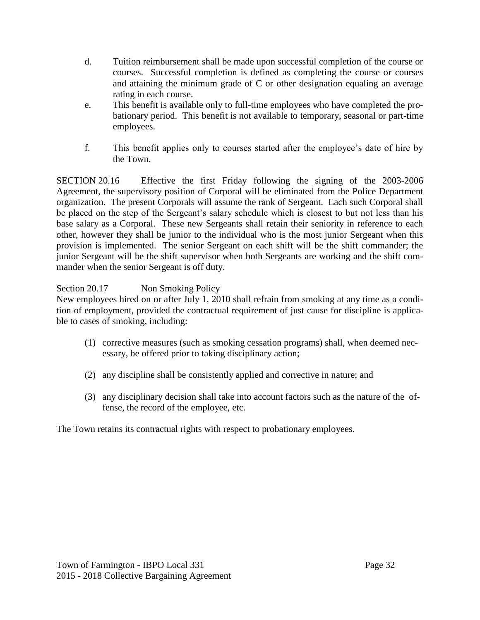- d. Tuition reimbursement shall be made upon successful completion of the course or courses. Successful completion is defined as completing the course or courses and attaining the minimum grade of C or other designation equaling an average rating in each course.
- e. This benefit is available only to full-time employees who have completed the probationary period. This benefit is not available to temporary, seasonal or part-time employees.
- f. This benefit applies only to courses started after the employee's date of hire by the Town.

SECTION 20.16 Effective the first Friday following the signing of the 2003-2006 Agreement, the supervisory position of Corporal will be eliminated from the Police Department organization. The present Corporals will assume the rank of Sergeant. Each such Corporal shall be placed on the step of the Sergeant's salary schedule which is closest to but not less than his base salary as a Corporal. These new Sergeants shall retain their seniority in reference to each other, however they shall be junior to the individual who is the most junior Sergeant when this provision is implemented. The senior Sergeant on each shift will be the shift commander; the junior Sergeant will be the shift supervisor when both Sergeants are working and the shift commander when the senior Sergeant is off duty.

Section 20.17 Non Smoking Policy

New employees hired on or after July 1, 2010 shall refrain from smoking at any time as a condition of employment, provided the contractual requirement of just cause for discipline is applicable to cases of smoking, including:

- (1) corrective measures (such as smoking cessation programs) shall, when deemed necessary, be offered prior to taking disciplinary action;
- (2) any discipline shall be consistently applied and corrective in nature; and
- (3) any disciplinary decision shall take into account factors such as the nature of the offense, the record of the employee, etc.

The Town retains its contractual rights with respect to probationary employees.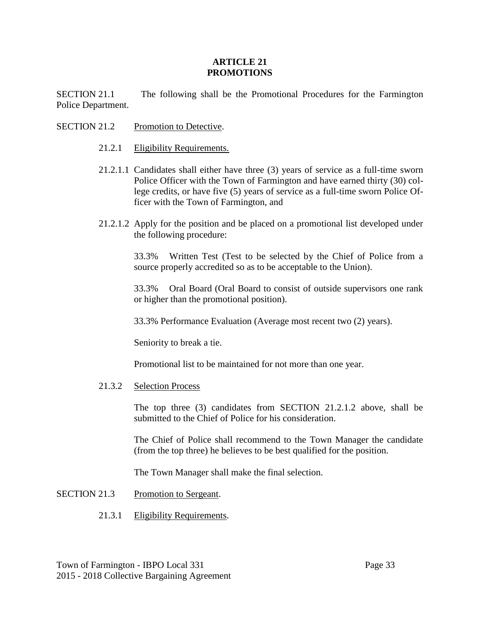#### **ARTICLE 21 PROMOTIONS**

SECTION 21.1 The following shall be the Promotional Procedures for the Farmington Police Department.

- SECTION 21.2 Promotion to Detective.
	- 21.2.1 Eligibility Requirements.
	- 21.2.1.1 Candidates shall either have three (3) years of service as a full-time sworn Police Officer with the Town of Farmington and have earned thirty (30) college credits, or have five (5) years of service as a full-time sworn Police Officer with the Town of Farmington, and
	- 21.2.1.2 Apply for the position and be placed on a promotional list developed under the following procedure:

33.3% Written Test (Test to be selected by the Chief of Police from a source properly accredited so as to be acceptable to the Union).

33.3% Oral Board (Oral Board to consist of outside supervisors one rank or higher than the promotional position).

33.3% Performance Evaluation (Average most recent two (2) years).

Seniority to break a tie.

Promotional list to be maintained for not more than one year.

21.3.2 Selection Process

The top three (3) candidates from SECTION 21.2.1.2 above, shall be submitted to the Chief of Police for his consideration.

The Chief of Police shall recommend to the Town Manager the candidate (from the top three) he believes to be best qualified for the position.

The Town Manager shall make the final selection.

- SECTION 21.3 Promotion to Sergeant.
	- 21.3.1 Eligibility Requirements.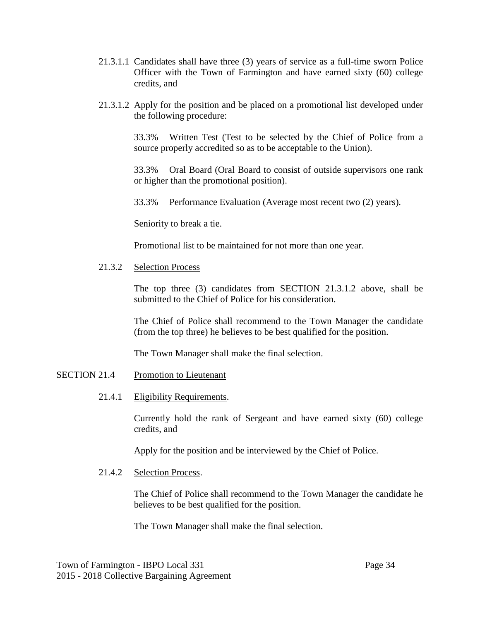- 21.3.1.1 Candidates shall have three (3) years of service as a full-time sworn Police Officer with the Town of Farmington and have earned sixty (60) college credits, and
- 21.3.1.2 Apply for the position and be placed on a promotional list developed under the following procedure:

33.3% Written Test (Test to be selected by the Chief of Police from a source properly accredited so as to be acceptable to the Union).

33.3% Oral Board (Oral Board to consist of outside supervisors one rank or higher than the promotional position).

33.3% Performance Evaluation (Average most recent two (2) years).

Seniority to break a tie.

Promotional list to be maintained for not more than one year.

#### 21.3.2 Selection Process

The top three (3) candidates from SECTION 21.3.1.2 above, shall be submitted to the Chief of Police for his consideration.

The Chief of Police shall recommend to the Town Manager the candidate (from the top three) he believes to be best qualified for the position.

The Town Manager shall make the final selection.

- SECTION 21.4 Promotion to Lieutenant
	- 21.4.1 Eligibility Requirements.

Currently hold the rank of Sergeant and have earned sixty (60) college credits, and

Apply for the position and be interviewed by the Chief of Police.

#### 21.4.2 Selection Process.

The Chief of Police shall recommend to the Town Manager the candidate he believes to be best qualified for the position.

The Town Manager shall make the final selection.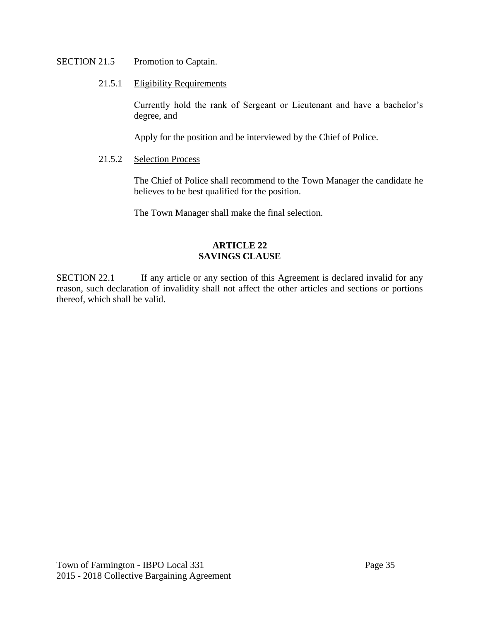#### SECTION 21.5 Promotion to Captain.

#### 21.5.1 Eligibility Requirements

Currently hold the rank of Sergeant or Lieutenant and have a bachelor's degree, and

Apply for the position and be interviewed by the Chief of Police.

## 21.5.2 Selection Process

The Chief of Police shall recommend to the Town Manager the candidate he believes to be best qualified for the position.

The Town Manager shall make the final selection.

#### **ARTICLE 22 SAVINGS CLAUSE**

SECTION 22.1 If any article or any section of this Agreement is declared invalid for any reason, such declaration of invalidity shall not affect the other articles and sections or portions thereof, which shall be valid.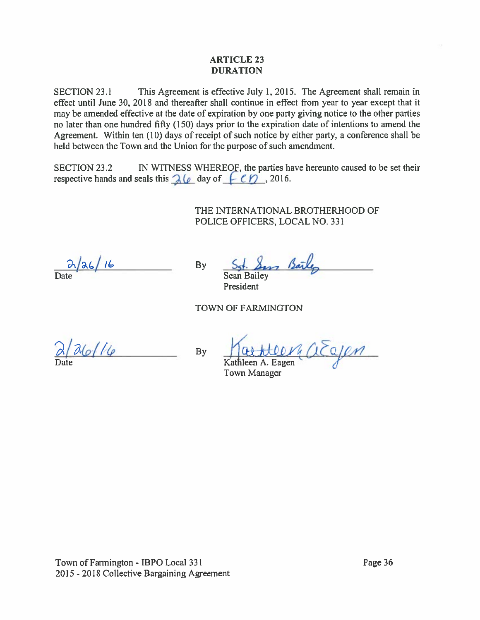#### ARTICLE 23 DURATION

SECTION 23.1 This Agreement is effective July 1, 2015. The Agreement shall remain in effect until June 30, 2018 and thereafter shall continue in effect from year to year excep<sup>t</sup> that it may be amended effective at the date of expiration by one party giving notice to the other parties no later than one hundred fifty (150) days prior to the expiration date of intentions to amend the Agreement. Within ten (10) days of receipt of such notice by either party, <sup>a</sup> conference shall be held between the Town and the Union for the purpose of such amendment. **ARTICLE 23**<br>
DURATION<br>
DURATION<br>
DURATION<br>
Effect until June 30, 2018 and thereafter shall continue in effect from year to year ex<br>
may be amended effective at the date of expiration by one party giving notice to the o<br>

SECTION 23.2 IN WITNESS WHEREOF, the parties have hereunto caused to be set their respective hands and seals this  $\mathcal{A}(\rho)$  day of  $\mathcal{A}(\rho)$ , 2016.

> THE INTERNATIONAL BROTHERHOOD OF POLICE OFFICERS, LOCAL NO. 331

 $\frac{\partial}{\partial \alpha}$  /26/16

By S51. Sans Barley

President

 $\n By \n   
\n Kathleen A. Eagen\n   
\n (1 \n   
\n   
\n (2 \n   
\n   
\n (4 \n   
\n   
\n (5 \n   
\n   
\n (4 \n   
\n   
\n (5 \n   
\n   
\n (5 \n   
\n   
\n (6 \n   
\n   
\n (7 \n   
\n   
\n (8 \n   
\n   
\n (9 \n   
\n   
\n (10 \n   
\n   
\n (11 \n   
\n$ 

Town Manager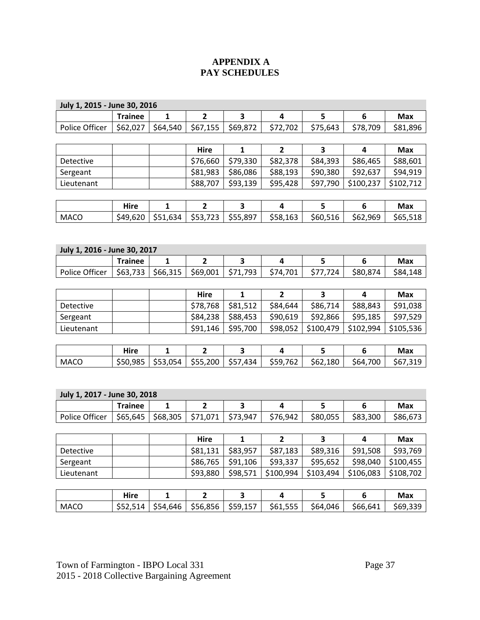## **APPENDIX A PAY SCHEDULES**

| July 1, 2015 - June 30, 2016 |                |              |                |              |                         |           |                         |            |
|------------------------------|----------------|--------------|----------------|--------------|-------------------------|-----------|-------------------------|------------|
|                              | <b>Trainee</b> | 1            | $\overline{2}$ | 3            | 4                       | 5         | 6                       | <b>Max</b> |
| Police Officer               | \$62,027       | \$64,540     | \$67,155       | \$69,872     | \$72,702                | \$75,643  | \$78,709                | \$81,896   |
|                              |                |              |                |              |                         |           |                         |            |
|                              |                |              | <b>Hire</b>    | $\mathbf{1}$ | $\overline{2}$          | 3         | $\overline{\mathbf{4}}$ | <b>Max</b> |
| Detective                    |                |              | \$76,660       | \$79,330     | \$82,378                | \$84,393  | \$86,465                | \$88,601   |
| Sergeant                     |                |              | \$81,983       | \$86,086     | \$88,193                | \$90,380  | \$92,637                | \$94,919   |
| Lieutenant                   |                |              | \$88,707       | \$93,139     | \$95,428                | \$97,790  | \$100,237               | \$102,712  |
|                              |                |              |                |              |                         |           |                         |            |
|                              | Hire           | $\mathbf{1}$ | $\overline{2}$ | 3            | $\overline{\mathbf{4}}$ | 5         | 6                       | <b>Max</b> |
| <b>MACO</b>                  | \$49,620       | \$51,634     | \$53,723       | \$55,897     | \$58,163                | \$60,516  | \$62,969                | \$65,518   |
|                              |                |              |                |              |                         |           |                         |            |
|                              |                |              |                |              |                         |           |                         |            |
| July 1, 2016 - June 30, 2017 |                |              |                |              |                         |           |                         |            |
|                              | <b>Trainee</b> | $\mathbf{1}$ | $\mathbf{2}$   | 3            | $\overline{\mathbf{4}}$ | 5         | 6                       | <b>Max</b> |
| Police Officer               | \$63,733       | \$66,315     | \$69,001       | \$71,793     | \$74,701                | \$77,724  | \$80,874                | \$84,148   |
|                              |                |              |                |              |                         |           |                         |            |
|                              |                |              | Hire           | $\mathbf{1}$ | $\overline{2}$          | 3         | 4                       | <b>Max</b> |
| Detective                    |                |              | \$78,768       | \$81,512     | \$84,644                | \$86,714  | \$88,843                | \$91,038   |
| Sergeant                     |                |              | \$84,238       | \$88,453     | \$90,619                | \$92,866  | \$95,185                | \$97,529   |
| Lieutenant                   |                |              | \$91,146       | \$95,700     | \$98,052                | \$100,479 | \$102,994               | \$105,536  |
|                              |                |              |                |              |                         |           |                         |            |
|                              | <b>Hire</b>    | 1            | $\overline{2}$ | 3            | 4                       | 5         | 6                       | <b>Max</b> |
| <b>MACO</b>                  | \$50,985       | \$53,054     | \$55,200       | \$57,434     | \$59,762                | \$62,180  | \$64,700                | \$67,319   |
|                              |                |              |                |              |                         |           |                         |            |
|                              |                |              |                |              |                         |           |                         |            |
| July 1, 2017 - June 30, 2018 |                |              |                |              |                         |           |                         |            |
|                              | <b>Trainee</b> | $\mathbf{1}$ | $\overline{2}$ | 3            | $\overline{\mathbf{4}}$ | 5         | 6                       | <b>Max</b> |
| Police Officer               | \$65,645       | \$68,305     | \$71,071       | \$73,947     | \$76,942                | \$80,055  | \$83,300                | \$86,673   |
|                              |                |              |                |              |                         |           |                         |            |
|                              |                |              | <b>Hire</b>    | 1            | $\overline{2}$          | 3         | 4                       | <b>Max</b> |
| Detective                    |                |              | \$81,131       | \$83,957     | \$87,183                | \$89,316  | \$91,508                | \$93,769   |
| Sergeant                     |                |              | \$86,765       | \$91,106     | \$93,337                | \$95,652  | \$98,040                | \$100,455  |
| Lieutenant                   |                |              | \$93,880       | \$98,571     | \$100,994               | \$103,494 | \$106,083               | \$108,702  |
|                              |                |              |                |              |                         |           |                         |            |
|                              | Hire           | $\mathbf{1}$ | $\mathbf{2}$   | 3            | $\overline{\mathbf{4}}$ | 5         | $\bf 6$                 | <b>Max</b> |
| <b>MACO</b>                  | \$52,514       | \$54,646     | \$56,856       | \$59,157     | \$61,555                | \$64,046  | \$66,641                | \$69,339   |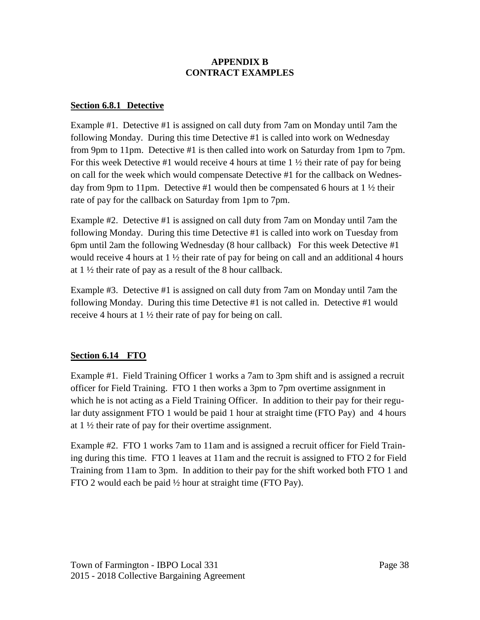#### **APPENDIX B CONTRACT EXAMPLES**

## **Section 6.8.1 Detective**

Example #1. Detective #1 is assigned on call duty from 7am on Monday until 7am the following Monday. During this time Detective #1 is called into work on Wednesday from 9pm to 11pm. Detective #1 is then called into work on Saturday from 1pm to 7pm. For this week Detective #1 would receive 4 hours at time  $1 \frac{1}{2}$  their rate of pay for being on call for the week which would compensate Detective #1 for the callback on Wednesday from 9pm to 11pm. Detective #1 would then be compensated 6 hours at 1 ½ their rate of pay for the callback on Saturday from 1pm to 7pm.

Example #2. Detective #1 is assigned on call duty from 7am on Monday until 7am the following Monday. During this time Detective #1 is called into work on Tuesday from 6pm until 2am the following Wednesday (8 hour callback) For this week Detective #1 would receive 4 hours at 1 ½ their rate of pay for being on call and an additional 4 hours at  $1\frac{1}{2}$  their rate of pay as a result of the 8 hour callback.

Example #3. Detective #1 is assigned on call duty from 7am on Monday until 7am the following Monday. During this time Detective #1 is not called in. Detective #1 would receive 4 hours at 1 ½ their rate of pay for being on call.

# **Section 6.14 FTO**

Example #1. Field Training Officer 1 works a 7am to 3pm shift and is assigned a recruit officer for Field Training. FTO 1 then works a 3pm to 7pm overtime assignment in which he is not acting as a Field Training Officer. In addition to their pay for their regular duty assignment FTO 1 would be paid 1 hour at straight time (FTO Pay) and 4 hours at 1 ½ their rate of pay for their overtime assignment.

Example #2. FTO 1 works 7am to 11am and is assigned a recruit officer for Field Training during this time. FTO 1 leaves at 11am and the recruit is assigned to FTO 2 for Field Training from 11am to 3pm. In addition to their pay for the shift worked both FTO 1 and FTO 2 would each be paid ½ hour at straight time (FTO Pay).